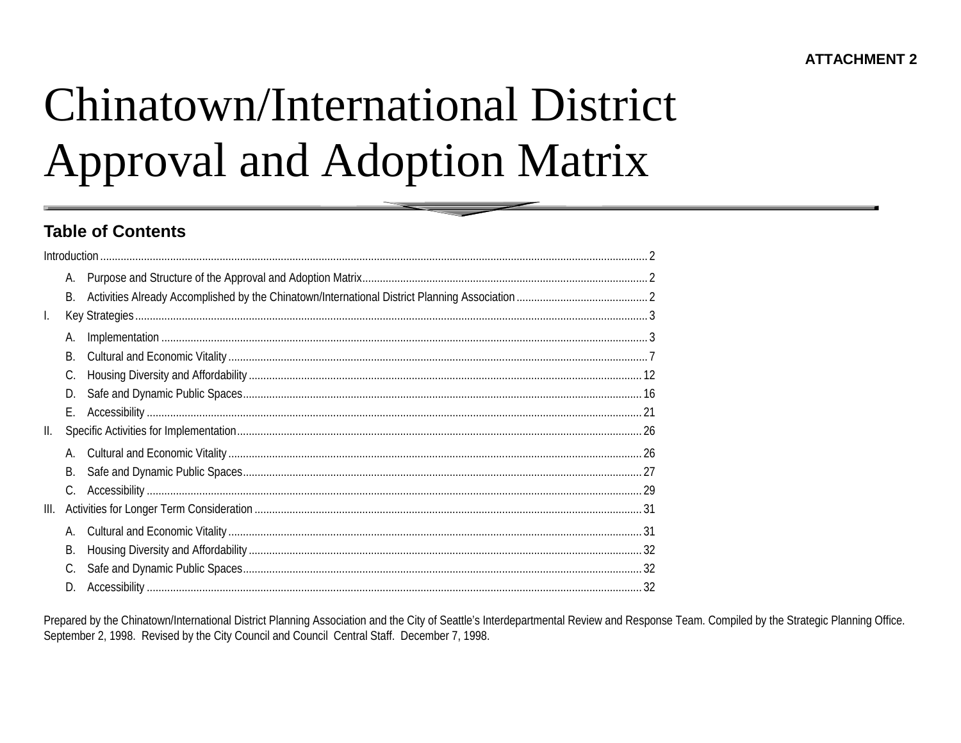# Chinatown/International District **Approval and Adoption Matrix**

## **Table of Contents**

|      | А.        |  |
|------|-----------|--|
|      | <b>B.</b> |  |
| I.   |           |  |
|      | А.        |  |
|      | <b>B.</b> |  |
|      | C.        |  |
|      | D.        |  |
|      | Е.        |  |
| Ш.   |           |  |
|      | А.        |  |
|      | В.        |  |
|      | C.        |  |
| III. |           |  |
|      | А.        |  |
|      | В.        |  |
|      | C.        |  |
|      | D.        |  |

Prepared by the Chinatown/International District Planning Association and the City of Seattle's Interdepartmental Review and Response Team. Compiled by the Strategic Planning Office. September 2, 1998. Revised by the City Council and Council Central Staff. December 7, 1998.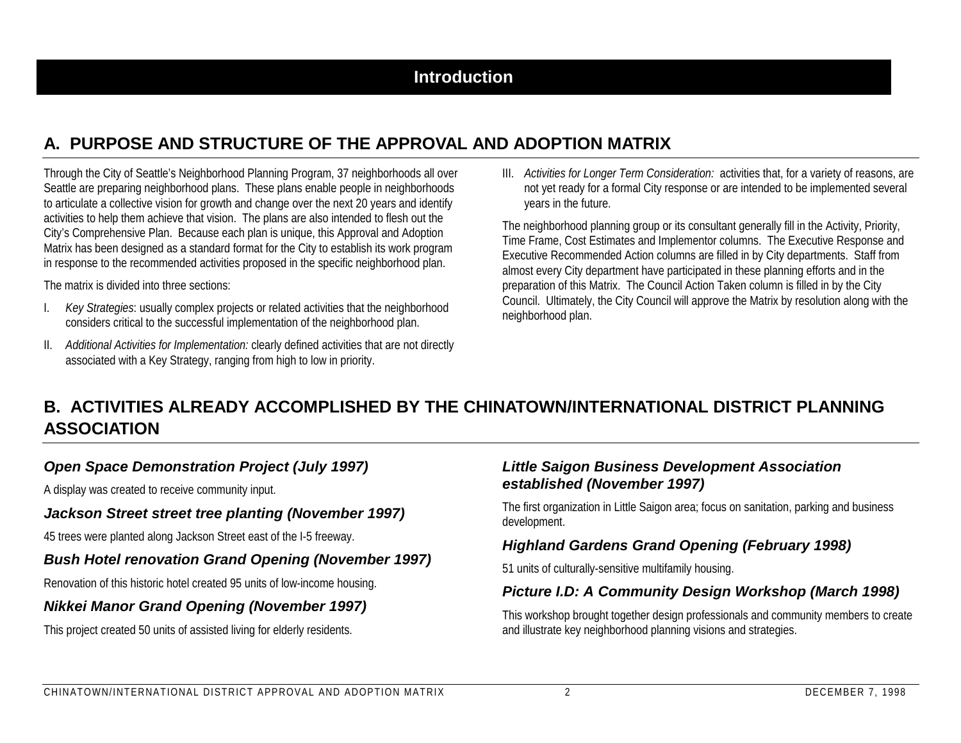# **A. PURPOSE AND STRUCTURE OF THE APPROVAL AND ADOPTION MATRIX**

Through the City of Seattle's Neighborhood Planning Program, 37 neighborhoods all over Seattle are preparing neighborhood plans. These plans enable people in neighborhoods to articulate a collective vision for growth and change over the next 20 years and identify activities to help them achieve that vision. The plans are also intended to flesh out the City's Comprehensive Plan. Because each plan is unique, this Approval and Adoption Matrix has been designed as a standard format for the City to establish its work program in response to the recommended activities proposed in the specific neighborhood plan.

The matrix is divided into three sections:

- I. *Key Strategies*: usually complex projects or related activities that the neighborhood considers critical to the successful implementation of the neighborhood plan.
- II. *Additional Activities for Implementation:* clearly defined activities that are not directly associated with a Key Strategy, ranging from high to low in priority.

III. *Activities for Longer Term Consideration:* activities that, for a variety of reasons, are not yet ready for a formal City response or are intended to be implemented several years in the future.

The neighborhood planning group or its consultant generally fill in the Activity, Priority, Time Frame, Cost Estimates and Implementor columns. The Executive Response and Executive Recommended Action columns are filled in by City departments. Staff from almost every City department have participated in these planning efforts and in the preparation of this Matrix. The Council Action Taken column is filled in by the City Council. Ultimately, the City Council will approve the Matrix by resolution along with the neighborhood plan.

# **B. ACTIVITIES ALREADY ACCOMPLISHED BY THE CHINATOWN/INTERNATIONAL DISTRICT PLANNINGASSOCIATION**

## *Open Space Demonstration Project (July 1997)*

A display was created to receive community input.

#### *Jackson Street street tree planting (November 1997)*

45 trees were planted along Jackson Street east of the I-5 freeway.

## *Bush Hotel renovation Grand Opening (November 1997)*

Renovation of this historic hotel created 95 units of low-income housing.

## *Nikkei Manor Grand Opening (November 1997)*

This project created 50 units of assisted living for elderly residents.

## *Little Saigon Business Development Association established (November 1997)*

The first organization in Little Saigon area; focus on sanitation, parking and business development.

## *Highland Gardens Grand Opening (February 1998)*

51 units of culturally-sensitive multifamily housing.

## *Picture I.D: A Community Design Workshop (March 1998)*

This workshop brought together design professionals and community members to create and illustrate key neighborhood planning visions and strategies.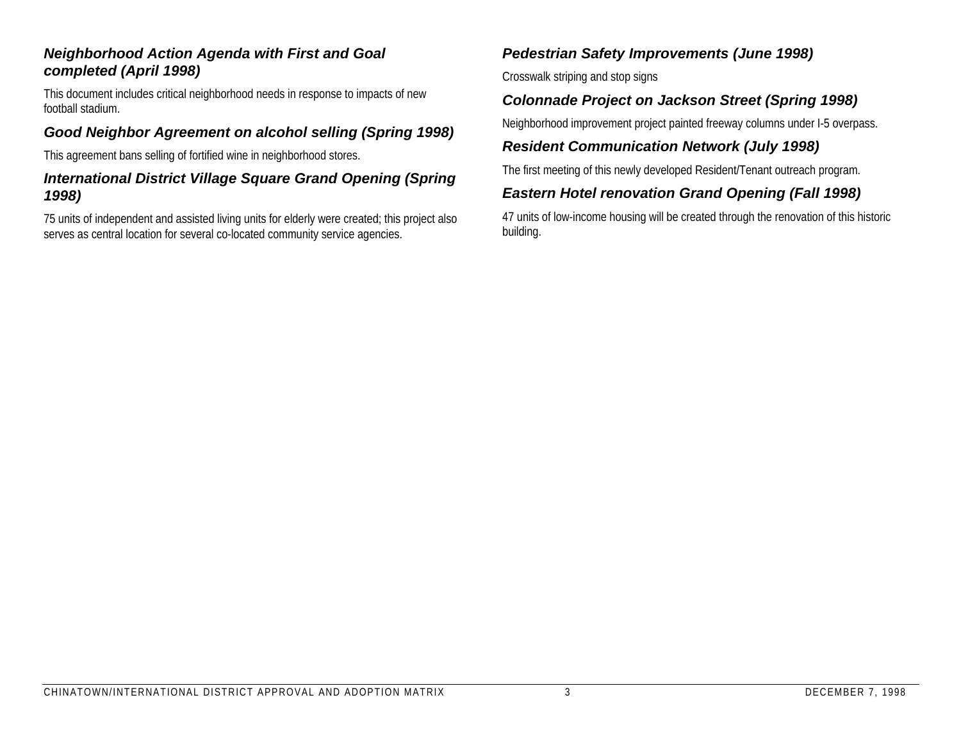#### *Neighborhood Action Agenda with First and Goal completed (April 1998)*

This document includes critical neighborhood needs in response to impacts of new football stadium.

## *Good Neighbor Agreement on alcohol selling (Spring 1998)*

This agreement bans selling of fortified wine in neighborhood stores.

#### *International District Village Square Grand Opening (Spring 1998)*

75 units of independent and assisted living units for elderly were created; this project also serves as central location for several co-located community service agencies.

## *Pedestrian Safety Improvements (June 1998)*

Crosswalk striping and stop signs

## *Colonnade Project on Jackson Street (Spring 1998)*

Neighborhood improvement project painted freeway columns under I-5 overpass.

## *Resident Communication Network (July 1998)*

The first meeting of this newly developed Resident/Tenant outreach program.

## *Eastern Hotel renovation Grand Opening (Fall 1998)*

47 units of low-income housing will be created through the renovation of this historic building.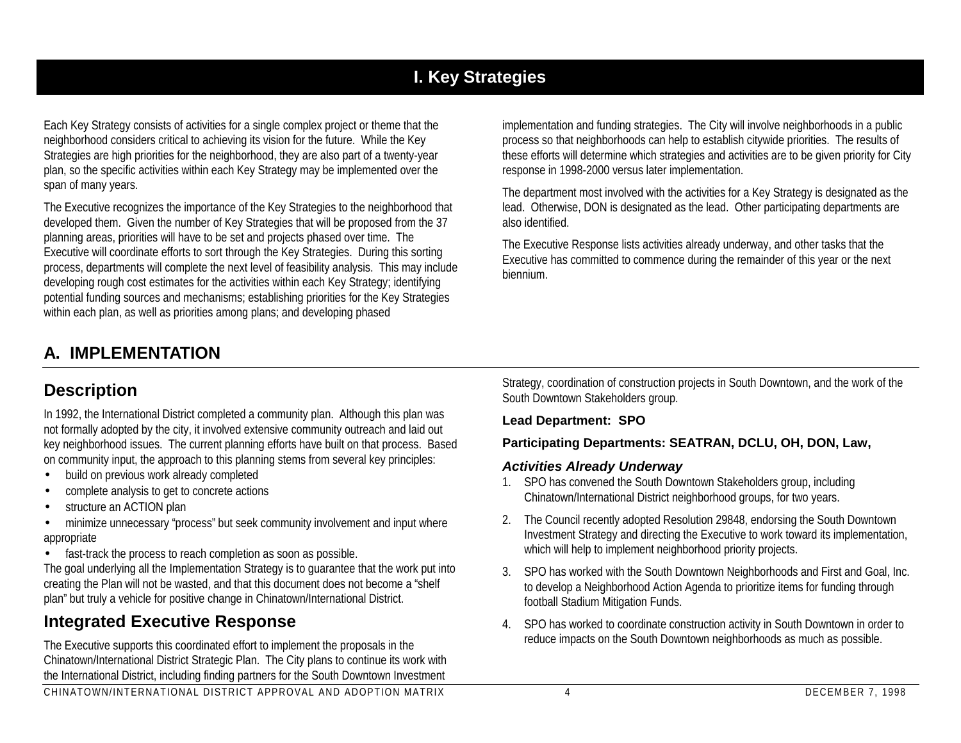# **I. Key Strategies**

Each Key Strategy consists of activities for a single complex project or theme that the neighborhood considers critical to achieving its vision for the future. While the Key Strategies are high priorities for the neighborhood, they are also part of a twenty-year plan, so the specific activities within each Key Strategy may be implemented over the span of many years.

The Executive recognizes the importance of the Key Strategies to the neighborhood that developed them. Given the number of Key Strategies that will be proposed from the 37 planning areas, priorities will have to be set and projects phased over time. The Executive will coordinate efforts to sort through the Key Strategies. During this sorting process, departments will complete the next level of feasibility analysis. This may include developing rough cost estimates for the activities within each Key Strategy; identifying potential funding sources and mechanisms; establishing priorities for the Key Strategies within each plan, as well as priorities among plans; and developing phased

implementation and funding strategies. The City will involve neighborhoods in a public process so that neighborhoods can help to establish citywide priorities. The results of these efforts will determine which strategies and activities are to be given priority for City response in 1998-2000 versus later implementation.

The department most involved with the activities for a Key Strategy is designated as the lead. Otherwise, DON is designated as the lead. Other participating departments are also identified.

The Executive Response lists activities already underway, and other tasks that the Executive has committed to commence during the remainder of this year or the next biennium.

# **A. IMPLEMENTATION**

## **Description**

In 1992, the International District completed a community plan. Although this plan was not formally adopted by the city, it involved extensive community outreach and laid out key neighborhood issues. The current planning efforts have built on that process. Based on community input, the approach to this planning stems from several key principles:

- •build on previous work already completed
- •complete analysis to get to concrete actions
- •structure an ACTION plan

 $\bullet$  minimize unnecessary "process" but seek community involvement and input where appropriate

• fast-track the process to reach completion as soon as possible.

The goal underlying all the Implementation Strategy is to guarantee that the work put into creating the Plan will not be wasted, and that this document does not become a "shelf plan" but truly a vehicle for positive change in Chinatown/International District.

# **Integrated Executive Response**

The Executive supports this coordinated effort to implement the proposals in the Chinatown/International District Strategic Plan. The City plans to continue its work with the International District, including finding partners for the South Downtown Investment Strategy, coordination of construction projects in South Downtown, and the work of the South Downtown Stakeholders group.

#### **Lead Department: SPO**

#### **Participating Departments: SEATRAN, DCLU, OH, DON, Law,**

## *Activities Already Underway*

- 1. SPO has convened the South Downtown Stakeholders group, including Chinatown/International District neighborhood groups, for two years.
- 2. The Council recently adopted Resolution 29848, endorsing the South Downtown Investment Strategy and directing the Executive to work toward its implementation, which will help to implement neighborhood priority projects.
- 3. SPO has worked with the South Downtown Neighborhoods and First and Goal, Inc. to develop a Neighborhood Action Agenda to prioritize items for funding through football Stadium Mitigation Funds.
- 4. SPO has worked to coordinate construction activity in South Downtown in order to reduce impacts on the South Downtown neighborhoods as much as possible.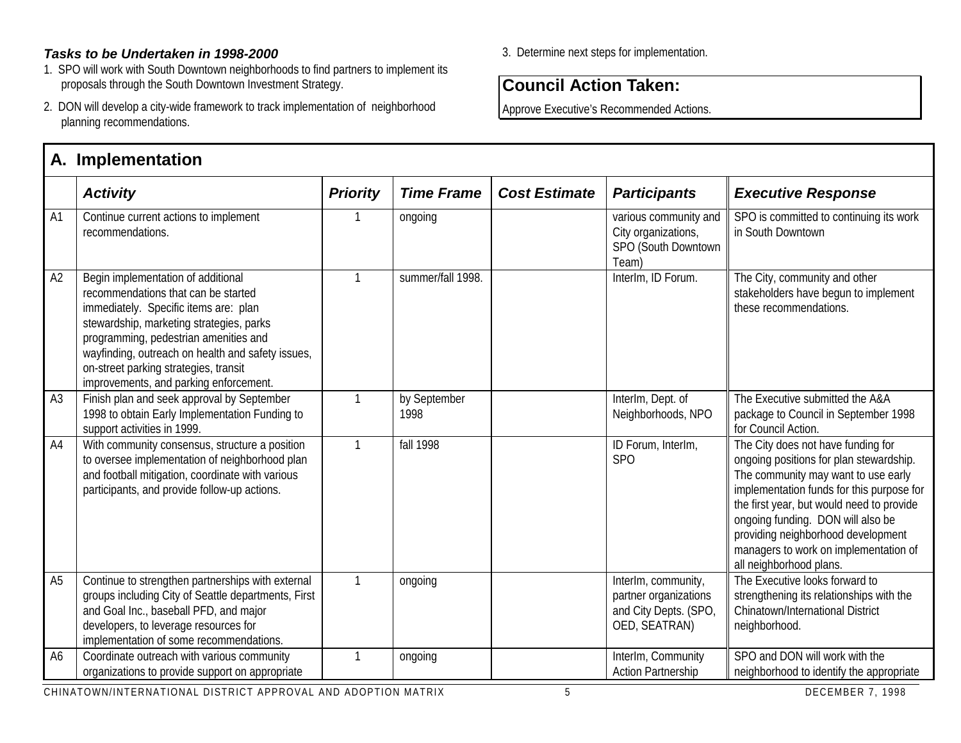#### *Tasks to be Undertaken in 1998-2000*

- 1. SPO will work with South Downtown neighborhoods to find partners to implement its proposals through the South Downtown Investment Strategy.
- 2. DON will develop a city-wide framework to track implementation of neighborhood planning recommendations.

# **A. Implementation**

#### 3. Determine next steps for implementation.

## **Council Action Taken:**

Approve Executive's Recommended Actions.

|                | A. IIIIpitiituudil                                                                                                                                                                                                                                                                                                                              |                 |                      |                      |                                                                                        |                                                                                                                                                                                                                                                                                                                                                               |  |  |  |  |
|----------------|-------------------------------------------------------------------------------------------------------------------------------------------------------------------------------------------------------------------------------------------------------------------------------------------------------------------------------------------------|-----------------|----------------------|----------------------|----------------------------------------------------------------------------------------|---------------------------------------------------------------------------------------------------------------------------------------------------------------------------------------------------------------------------------------------------------------------------------------------------------------------------------------------------------------|--|--|--|--|
|                | <b>Activity</b>                                                                                                                                                                                                                                                                                                                                 | <b>Priority</b> | <b>Time Frame</b>    | <b>Cost Estimate</b> | <b>Participants</b>                                                                    | <b>Executive Response</b>                                                                                                                                                                                                                                                                                                                                     |  |  |  |  |
| A <sub>1</sub> | Continue current actions to implement<br>recommendations.                                                                                                                                                                                                                                                                                       |                 | ongoing              |                      | various community and<br>City organizations,<br>SPO (South Downtown<br>Team)           | SPO is committed to continuing its work<br>in South Downtown                                                                                                                                                                                                                                                                                                  |  |  |  |  |
| A2             | Begin implementation of additional<br>recommendations that can be started<br>immediately. Specific items are: plan<br>stewardship, marketing strategies, parks<br>programming, pedestrian amenities and<br>wayfinding, outreach on health and safety issues,<br>on-street parking strategies, transit<br>improvements, and parking enforcement. | 1               | summer/fall 1998.    |                      | InterIm, ID Forum.                                                                     | The City, community and other<br>stakeholders have begun to implement<br>these recommendations.                                                                                                                                                                                                                                                               |  |  |  |  |
| A3             | Finish plan and seek approval by September<br>1998 to obtain Early Implementation Funding to<br>support activities in 1999.                                                                                                                                                                                                                     | 1               | by September<br>1998 |                      | InterIm, Dept. of<br>Neighborhoods, NPO                                                | The Executive submitted the A&A<br>package to Council in September 1998<br>for Council Action.                                                                                                                                                                                                                                                                |  |  |  |  |
| A <sub>4</sub> | With community consensus, structure a position<br>to oversee implementation of neighborhood plan<br>and football mitigation, coordinate with various<br>participants, and provide follow-up actions.                                                                                                                                            | $\mathbf{1}$    | fall 1998            |                      | ID Forum, InterIm,<br>SP <sub>O</sub>                                                  | The City does not have funding for<br>ongoing positions for plan stewardship.<br>The community may want to use early<br>implementation funds for this purpose for<br>the first year, but would need to provide<br>ongoing funding. DON will also be<br>providing neighborhood development<br>managers to work on implementation of<br>all neighborhood plans. |  |  |  |  |
| A <sub>5</sub> | Continue to strengthen partnerships with external<br>groups including City of Seattle departments, First<br>and Goal Inc., baseball PFD, and major<br>developers, to leverage resources for<br>implementation of some recommendations.                                                                                                          | 1               | ongoing              |                      | InterIm, community,<br>partner organizations<br>and City Depts. (SPO,<br>OED, SEATRAN) | The Executive looks forward to<br>strengthening its relationships with the<br>Chinatown/International District<br>neighborhood.                                                                                                                                                                                                                               |  |  |  |  |
| A <sub>6</sub> | Coordinate outreach with various community<br>organizations to provide support on appropriate                                                                                                                                                                                                                                                   |                 | ongoing              |                      | InterIm, Community<br><b>Action Partnership</b>                                        | SPO and DON will work with the<br>neighborhood to identify the appropriate                                                                                                                                                                                                                                                                                    |  |  |  |  |

CHINATOWN/INTERNATIONAL DISTRICT APPROVAL AND ADOPTION MATRIX 5 DECEMBER 7, 1998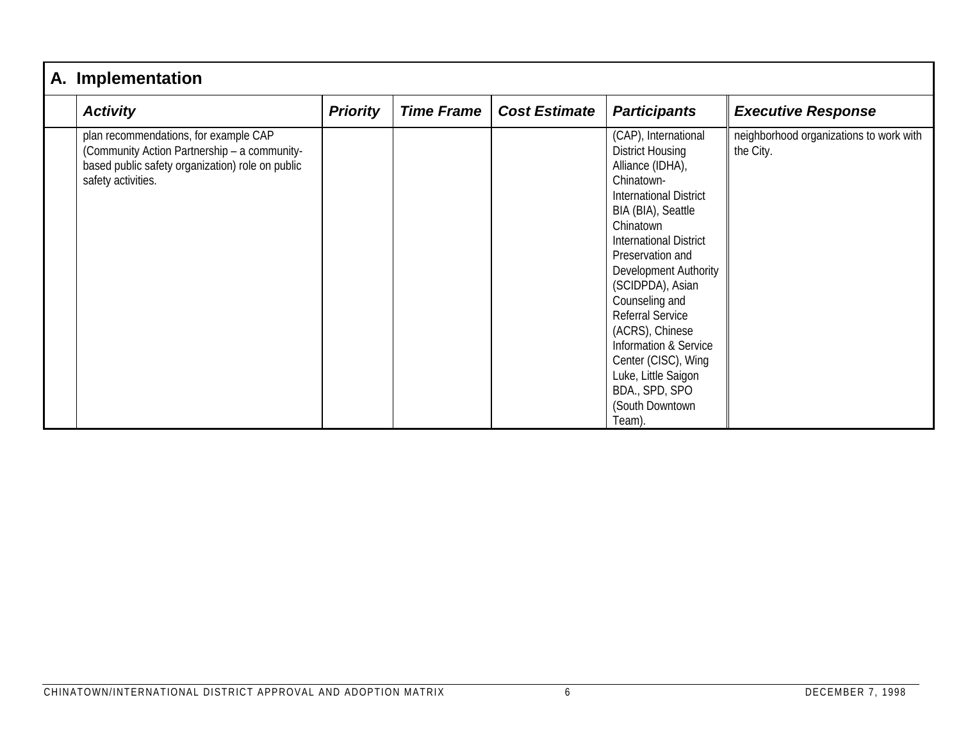| A. Implementation                                                                                                                                               |                 |                   |                      |                                                                                                                                                                                                                                                                                                                                                                                                                                                                 |                                                      |  |  |  |
|-----------------------------------------------------------------------------------------------------------------------------------------------------------------|-----------------|-------------------|----------------------|-----------------------------------------------------------------------------------------------------------------------------------------------------------------------------------------------------------------------------------------------------------------------------------------------------------------------------------------------------------------------------------------------------------------------------------------------------------------|------------------------------------------------------|--|--|--|
| <b>Activity</b>                                                                                                                                                 | <b>Priority</b> | <b>Time Frame</b> | <b>Cost Estimate</b> | <b>Participants</b>                                                                                                                                                                                                                                                                                                                                                                                                                                             | <b>Executive Response</b>                            |  |  |  |
| plan recommendations, for example CAP<br>(Community Action Partnership - a community-<br>based public safety organization) role on public<br>safety activities. |                 |                   |                      | (CAP), International<br><b>District Housing</b><br>Alliance (IDHA),<br>Chinatown-<br><b>International District</b><br>BIA (BIA), Seattle<br>Chinatown<br><b>International District</b><br>Preservation and<br><b>Development Authority</b><br>(SCIDPDA), Asian<br>Counseling and<br><b>Referral Service</b><br>(ACRS), Chinese<br><b>Information &amp; Service</b><br>Center (CISC), Wing<br>Luke, Little Saigon<br>BDA., SPD, SPO<br>(South Downtown<br>Team). | neighborhood organizations to work with<br>the City. |  |  |  |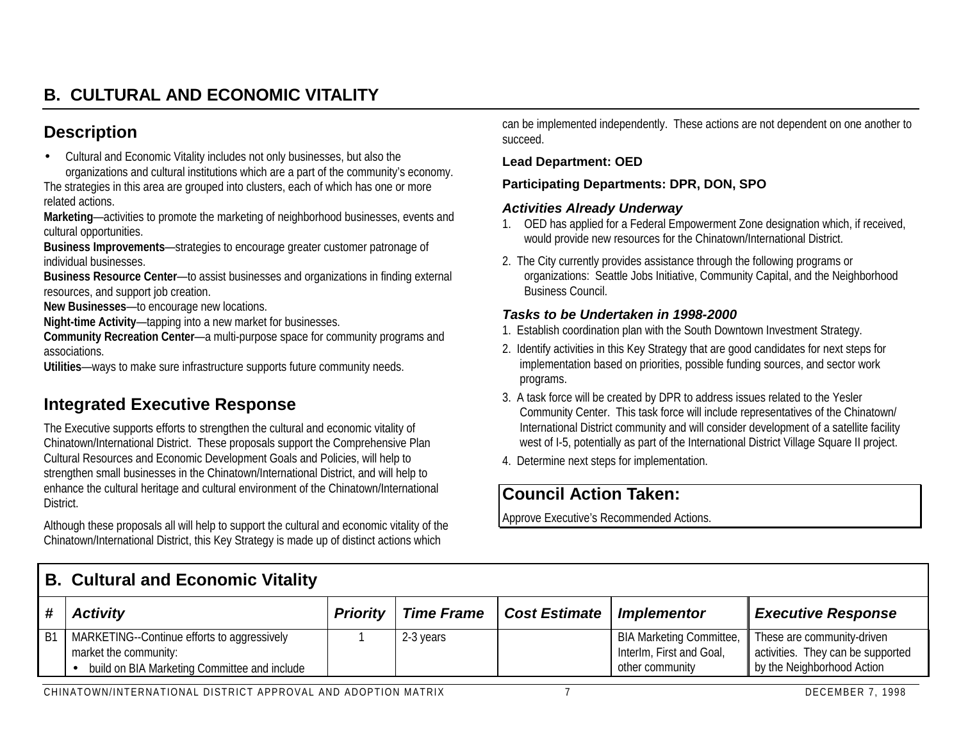# **B. CULTURAL AND ECONOMIC VITALITY**

## **Description**

• Cultural and Economic Vitality includes not only businesses, but also the organizations and cultural institutions which are a part of the community's economy.

The strategies in this area are grouped into clusters, each of which has one or more related actions.

**Marketing**—activities to promote the marketing of neighborhood businesses, events and cultural opportunities.

**Business Improvements**—strategies to encourage greater customer patronage of individual businesses.

**Business Resource Center**—to assist businesses and organizations in finding external resources, and support job creation.

**New Businesses**—to encourage new locations.

**Night-time Activity**—tapping into a new market for businesses.

**Community Recreation Center**—a multi-purpose space for community programs and associations.

**Utilities**—ways to make sure infrastructure supports future community needs.

# **Integrated Executive Response**

The Executive supports efforts to strengthen the cultural and economic vitality of Chinatown/International District. These proposals support the Comprehensive Plan Cultural Resources and Economic Development Goals and Policies, will help to strengthen small businesses in the Chinatown/International District, and will help to enhance the cultural heritage and cultural environment of the Chinatown/International District.

Although these proposals all will help to support the cultural and economic vitality of the Chinatown/International District, this Key Strategy is made up of distinct actions which

can be implemented independently. These actions are not dependent on one another to succeed.

#### **Lead Department: OED**

#### **Participating Departments: DPR, DON, SPO**

#### *Activities Already Underway*

- 1. OED has applied for a Federal Empowerment Zone designation which, if received, would provide new resources for the Chinatown/International District.
- 2. The City currently provides assistance through the following programs or organizations: Seattle Jobs Initiative, Community Capital, and the Neighborhood Business Council.

#### *Tasks to be Undertaken in 1998-2000*

- 1. Establish coordination plan with the South Downtown Investment Strategy.
- 2. Identify activities in this Key Strategy that are good candidates for next steps for implementation based on priorities, possible funding sources, and sector work programs.
- 3. A task force will be created by DPR to address issues related to the Yesler Community Center. This task force will include representatives of the Chinatown/ International District community and will consider development of a satellite facility west of I-5, potentially as part of the International District Village Square II project.
- 4. Determine next steps for implementation.

# **Council Action Taken:**

|                | <b>B. Cultural and Economic Vitality</b>                                                                             |                 |                   |                      |                                                                                |                                                                                               |  |  |
|----------------|----------------------------------------------------------------------------------------------------------------------|-----------------|-------------------|----------------------|--------------------------------------------------------------------------------|-----------------------------------------------------------------------------------------------|--|--|
|                | <b>Activity</b>                                                                                                      | <b>Priority</b> | <b>Time Frame</b> | <b>Cost Estimate</b> | <b>Implementor</b>                                                             | <b>Executive Response</b>                                                                     |  |  |
| B <sup>1</sup> | MARKETING--Continue efforts to aggressively<br>market the community:<br>build on BIA Marketing Committee and include |                 | 2-3 years         |                      | <b>BIA Marketing Committee,</b><br>Interlm, First and Goal,<br>other community | These are community-driven<br>activities. They can be supported<br>by the Neighborhood Action |  |  |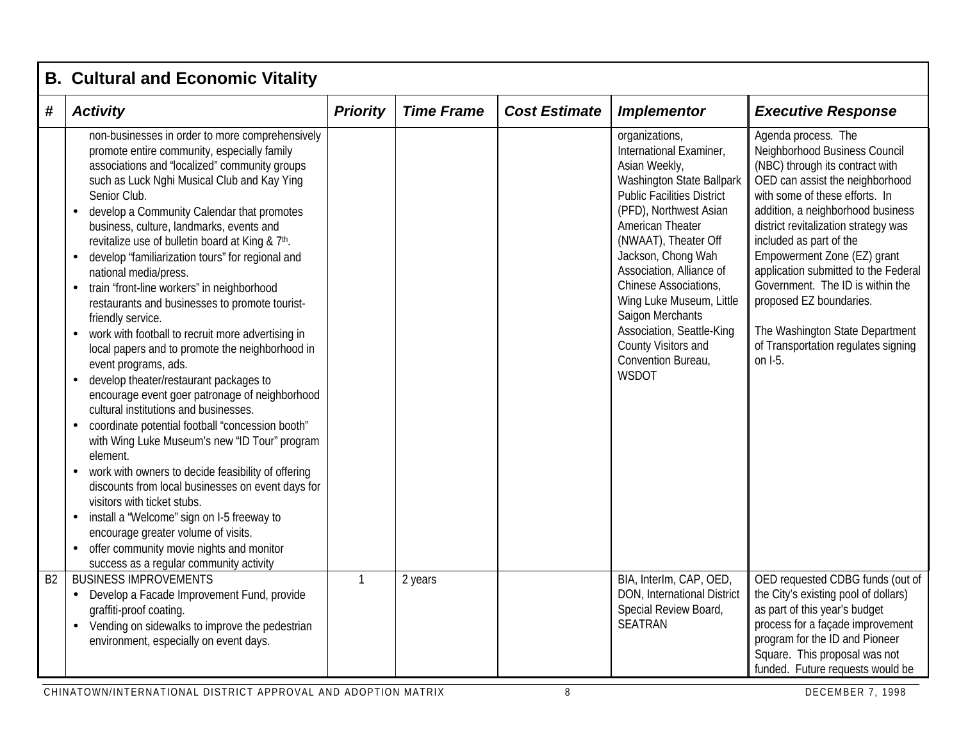|                | <b>B. Cultural and Economic Vitality</b>                                                                                                                                                                                                                                                                                                                                                                                                                                                                                                                                                                                                                                                                                                                                                                                                                                                                                                                                                                                                                                                                                                                                                                                                                                                                                                                |                 |                   |                      |                                                                                                                                                                                                                                                                                                                                                                                                                                |                                                                                                                                                                                                                                                                                                                                                                                                                                                                                                 |  |  |  |
|----------------|---------------------------------------------------------------------------------------------------------------------------------------------------------------------------------------------------------------------------------------------------------------------------------------------------------------------------------------------------------------------------------------------------------------------------------------------------------------------------------------------------------------------------------------------------------------------------------------------------------------------------------------------------------------------------------------------------------------------------------------------------------------------------------------------------------------------------------------------------------------------------------------------------------------------------------------------------------------------------------------------------------------------------------------------------------------------------------------------------------------------------------------------------------------------------------------------------------------------------------------------------------------------------------------------------------------------------------------------------------|-----------------|-------------------|----------------------|--------------------------------------------------------------------------------------------------------------------------------------------------------------------------------------------------------------------------------------------------------------------------------------------------------------------------------------------------------------------------------------------------------------------------------|-------------------------------------------------------------------------------------------------------------------------------------------------------------------------------------------------------------------------------------------------------------------------------------------------------------------------------------------------------------------------------------------------------------------------------------------------------------------------------------------------|--|--|--|
| #              | <b>Activity</b>                                                                                                                                                                                                                                                                                                                                                                                                                                                                                                                                                                                                                                                                                                                                                                                                                                                                                                                                                                                                                                                                                                                                                                                                                                                                                                                                         | <b>Priority</b> | <b>Time Frame</b> | <b>Cost Estimate</b> | <b>Implementor</b>                                                                                                                                                                                                                                                                                                                                                                                                             | <b>Executive Response</b>                                                                                                                                                                                                                                                                                                                                                                                                                                                                       |  |  |  |
|                | non-businesses in order to more comprehensively<br>promote entire community, especially family<br>associations and "localized" community groups<br>such as Luck Nghi Musical Club and Kay Ying<br>Senior Club.<br>develop a Community Calendar that promotes<br>business, culture, landmarks, events and<br>revitalize use of bulletin board at King & 7th.<br>develop "familiarization tours" for regional and<br>$\bullet$<br>national media/press.<br>train "front-line workers" in neighborhood<br>$\bullet$<br>restaurants and businesses to promote tourist-<br>friendly service.<br>work with football to recruit more advertising in<br>$\bullet$<br>local papers and to promote the neighborhood in<br>event programs, ads.<br>develop theater/restaurant packages to<br>$\bullet$<br>encourage event goer patronage of neighborhood<br>cultural institutions and businesses.<br>coordinate potential football "concession booth"<br>with Wing Luke Museum's new "ID Tour" program<br>element.<br>work with owners to decide feasibility of offering<br>$\bullet$<br>discounts from local businesses on event days for<br>visitors with ticket stubs.<br>install a "Welcome" sign on I-5 freeway to<br>$\bullet$<br>encourage greater volume of visits.<br>offer community movie nights and monitor<br>success as a regular community activity |                 |                   |                      | organizations,<br>International Examiner,<br>Asian Weekly,<br>Washington State Ballpark<br><b>Public Facilities District</b><br>(PFD), Northwest Asian<br><b>American Theater</b><br>(NWAAT), Theater Off<br>Jackson, Chong Wah<br>Association, Alliance of<br>Chinese Associations,<br>Wing Luke Museum, Little<br>Saigon Merchants<br>Association, Seattle-King<br>County Visitors and<br>Convention Bureau,<br><b>WSDOT</b> | Agenda process. The<br>Neighborhood Business Council<br>(NBC) through its contract with<br>OED can assist the neighborhood<br>with some of these efforts. In<br>addition, a neighborhood business<br>district revitalization strategy was<br>included as part of the<br>Empowerment Zone (EZ) grant<br>application submitted to the Federal<br>Government. The ID is within the<br>proposed EZ boundaries.<br>The Washington State Department<br>of Transportation regulates signing<br>on I-5. |  |  |  |
| B <sub>2</sub> | <b>BUSINESS IMPROVEMENTS</b><br>Develop a Facade Improvement Fund, provide<br>$\bullet$<br>graffiti-proof coating.<br>Vending on sidewalks to improve the pedestrian<br>environment, especially on event days.                                                                                                                                                                                                                                                                                                                                                                                                                                                                                                                                                                                                                                                                                                                                                                                                                                                                                                                                                                                                                                                                                                                                          | $\mathbf{1}$    | 2 years           |                      | BIA, Interlm, CAP, OED,<br>DON, International District<br>Special Review Board,<br><b>SEATRAN</b>                                                                                                                                                                                                                                                                                                                              | OED requested CDBG funds (out of<br>the City's existing pool of dollars)<br>as part of this year's budget<br>process for a façade improvement<br>program for the ID and Pioneer<br>Square. This proposal was not<br>funded. Future requests would be                                                                                                                                                                                                                                            |  |  |  |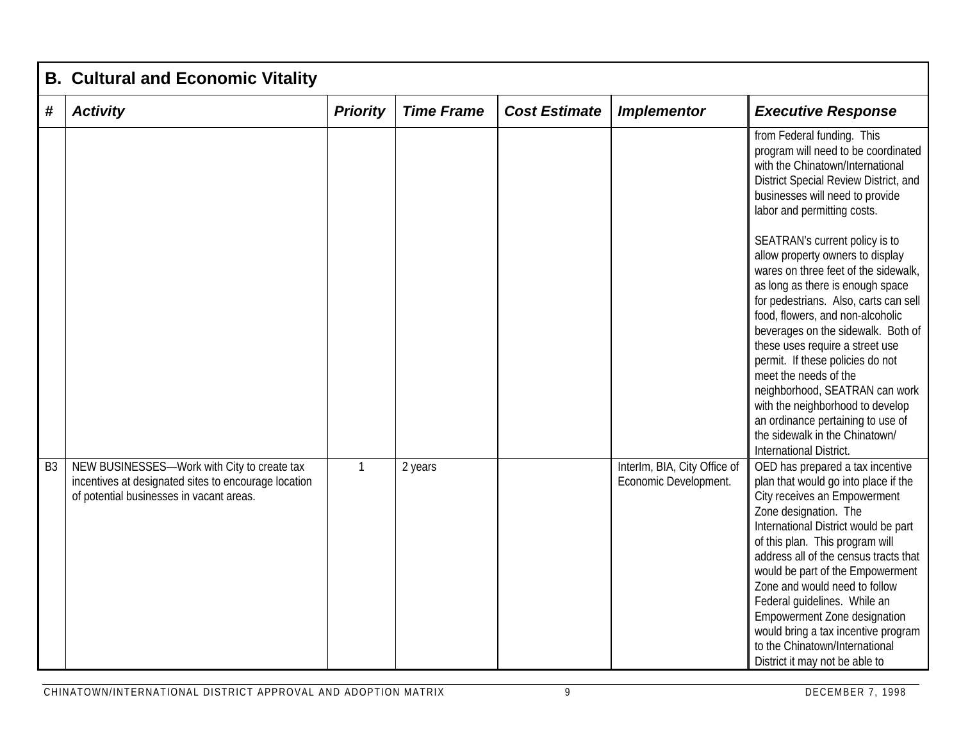|                | <b>B. Cultural and Economic Vitality</b>                                                                                                        |                 |                   |                      |                                                       |                                                                                                                                                                                                                                                                                                                                                                                                                                                                                                                                                                                                                                                                                                                                                               |  |  |  |
|----------------|-------------------------------------------------------------------------------------------------------------------------------------------------|-----------------|-------------------|----------------------|-------------------------------------------------------|---------------------------------------------------------------------------------------------------------------------------------------------------------------------------------------------------------------------------------------------------------------------------------------------------------------------------------------------------------------------------------------------------------------------------------------------------------------------------------------------------------------------------------------------------------------------------------------------------------------------------------------------------------------------------------------------------------------------------------------------------------------|--|--|--|
| #              | <b>Activity</b>                                                                                                                                 | <b>Priority</b> | <b>Time Frame</b> | <b>Cost Estimate</b> | <b>Implementor</b>                                    | <b>Executive Response</b>                                                                                                                                                                                                                                                                                                                                                                                                                                                                                                                                                                                                                                                                                                                                     |  |  |  |
|                |                                                                                                                                                 |                 |                   |                      |                                                       | from Federal funding. This<br>program will need to be coordinated<br>with the Chinatown/International<br>District Special Review District, and<br>businesses will need to provide<br>labor and permitting costs.<br>SEATRAN's current policy is to<br>allow property owners to display<br>wares on three feet of the sidewalk,<br>as long as there is enough space<br>for pedestrians. Also, carts can sell<br>food, flowers, and non-alcoholic<br>beverages on the sidewalk. Both of<br>these uses require a street use<br>permit. If these policies do not<br>meet the needs of the<br>neighborhood, SEATRAN can work<br>with the neighborhood to develop<br>an ordinance pertaining to use of<br>the sidewalk in the Chinatown/<br>International District. |  |  |  |
| B <sub>3</sub> | NEW BUSINESSES-Work with City to create tax<br>incentives at designated sites to encourage location<br>of potential businesses in vacant areas. | $\mathbf{1}$    | 2 years           |                      | InterIm, BIA, City Office of<br>Economic Development. | OED has prepared a tax incentive<br>plan that would go into place if the<br>City receives an Empowerment<br>Zone designation. The<br>International District would be part<br>of this plan. This program will<br>address all of the census tracts that<br>would be part of the Empowerment<br>Zone and would need to follow<br>Federal guidelines. While an<br><b>Empowerment Zone designation</b><br>would bring a tax incentive program<br>to the Chinatown/International<br>District it may not be able to                                                                                                                                                                                                                                                  |  |  |  |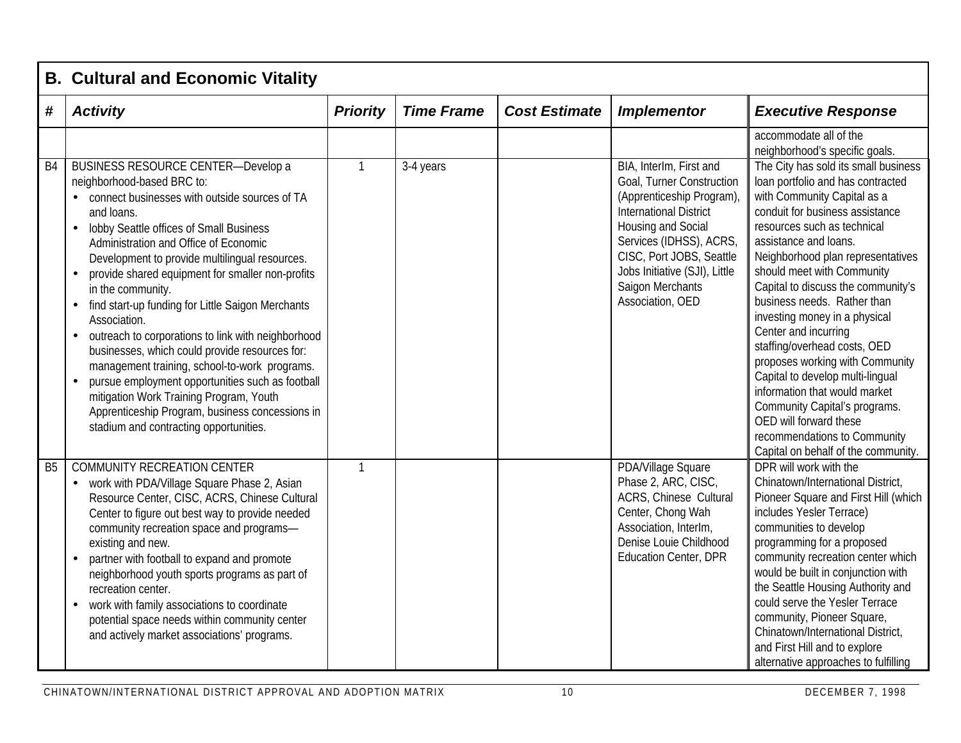|           | <b>B. Cultural and Economic Vitality</b>                                                                                                                                                                                                                                                                                                                                                                                                                                                                                                                                                                                                                                                                                                                                                                               |                 |                   |                      |                                                                                                                                                                                                                                                                          |                                                                                                                                                                                                                                                                                                                                                                                                                                                                                                                                                                                                                                                                                                                                            |  |  |  |
|-----------|------------------------------------------------------------------------------------------------------------------------------------------------------------------------------------------------------------------------------------------------------------------------------------------------------------------------------------------------------------------------------------------------------------------------------------------------------------------------------------------------------------------------------------------------------------------------------------------------------------------------------------------------------------------------------------------------------------------------------------------------------------------------------------------------------------------------|-----------------|-------------------|----------------------|--------------------------------------------------------------------------------------------------------------------------------------------------------------------------------------------------------------------------------------------------------------------------|--------------------------------------------------------------------------------------------------------------------------------------------------------------------------------------------------------------------------------------------------------------------------------------------------------------------------------------------------------------------------------------------------------------------------------------------------------------------------------------------------------------------------------------------------------------------------------------------------------------------------------------------------------------------------------------------------------------------------------------------|--|--|--|
| #         | <b>Activity</b>                                                                                                                                                                                                                                                                                                                                                                                                                                                                                                                                                                                                                                                                                                                                                                                                        | <b>Priority</b> | <b>Time Frame</b> | <b>Cost Estimate</b> | <b>Implementor</b>                                                                                                                                                                                                                                                       | <b>Executive Response</b>                                                                                                                                                                                                                                                                                                                                                                                                                                                                                                                                                                                                                                                                                                                  |  |  |  |
| <b>B4</b> | <b>BUSINESS RESOURCE CENTER-Develop a</b><br>neighborhood-based BRC to:<br>connect businesses with outside sources of TA<br>and loans.<br>lobby Seattle offices of Small Business<br>Administration and Office of Economic<br>Development to provide multilingual resources.<br>provide shared equipment for smaller non-profits<br>in the community.<br>find start-up funding for Little Saigon Merchants<br>$\bullet$<br>Association.<br>outreach to corporations to link with neighborhood<br>$\bullet$<br>businesses, which could provide resources for:<br>management training, school-to-work programs.<br>pursue employment opportunities such as football<br>$\bullet$<br>mitigation Work Training Program, Youth<br>Apprenticeship Program, business concessions in<br>stadium and contracting opportunities. | $\mathbf{1}$    | 3-4 years         |                      | BIA, Interlm, First and<br>Goal, Turner Construction<br>(Apprenticeship Program),<br><b>International District</b><br>Housing and Social<br>Services (IDHSS), ACRS,<br>CISC, Port JOBS, Seattle<br>Jobs Initiative (SJI), Little<br>Saigon Merchants<br>Association, OED | accommodate all of the<br>neighborhood's specific goals.<br>The City has sold its small business<br>loan portfolio and has contracted<br>with Community Capital as a<br>conduit for business assistance<br>resources such as technical<br>assistance and loans.<br>Neighborhood plan representatives<br>should meet with Community<br>Capital to discuss the community's<br>business needs. Rather than<br>investing money in a physical<br>Center and incurring<br>staffing/overhead costs, OED<br>proposes working with Community<br>Capital to develop multi-lingual<br>information that would market<br>Community Capital's programs.<br>OED will forward these<br>recommendations to Community<br>Capital on behalf of the community. |  |  |  |
| <b>B5</b> | <b>COMMUNITY RECREATION CENTER</b><br>work with PDA/Village Square Phase 2, Asian<br>$\bullet$<br>Resource Center, CISC, ACRS, Chinese Cultural<br>Center to figure out best way to provide needed<br>community recreation space and programs-<br>existing and new.<br>partner with football to expand and promote<br>$\bullet$<br>neighborhood youth sports programs as part of<br>recreation center.<br>work with family associations to coordinate<br>$\bullet$<br>potential space needs within community center<br>and actively market associations' programs.                                                                                                                                                                                                                                                     | $\mathbf{1}$    |                   |                      | PDA/Village Square<br>Phase 2, ARC, CISC,<br><b>ACRS, Chinese Cultural</b><br>Center, Chong Wah<br>Association, Interlm,<br>Denise Louie Childhood<br><b>Education Center, DPR</b>                                                                                       | DPR will work with the<br>Chinatown/International District,<br>Pioneer Square and First Hill (which<br>includes Yesler Terrace)<br>communities to develop<br>programming for a proposed<br>community recreation center which<br>would be built in conjunction with<br>the Seattle Housing Authority and<br>could serve the Yesler Terrace<br>community, Pioneer Square,<br>Chinatown/International District,<br>and First Hill and to explore<br>alternative approaches to fulfilling                                                                                                                                                                                                                                                      |  |  |  |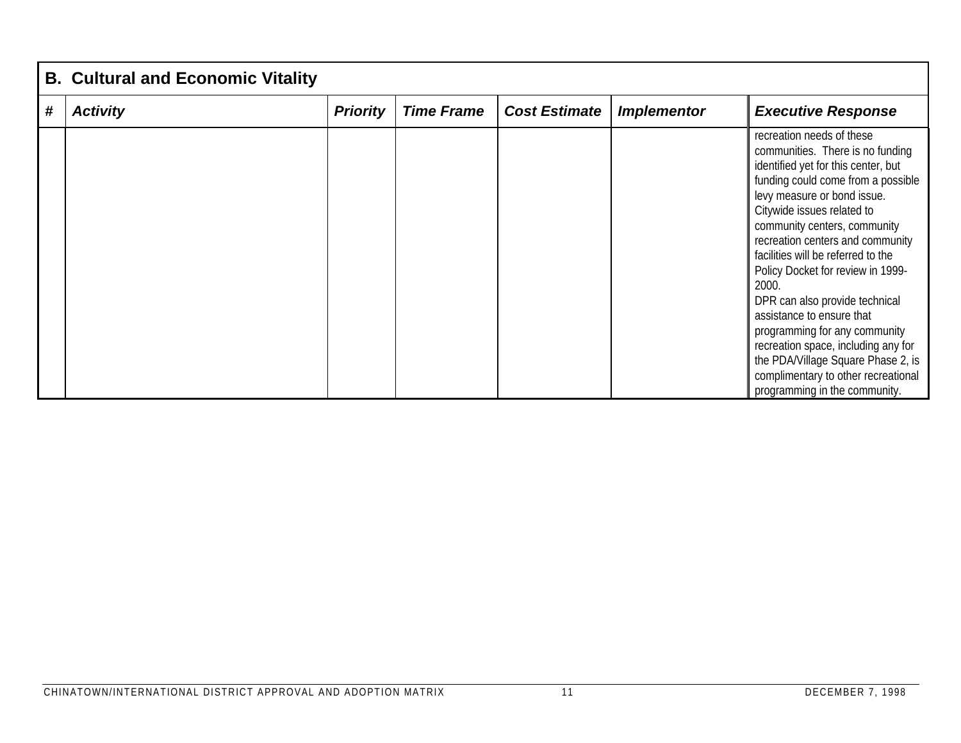|   | <b>B. Cultural and Economic Vitality</b> |                 |                   |                      |                    |                                                                                                                                                                                                                                                                                                                                                                                                                                                                                                                                                                                                                      |  |  |  |
|---|------------------------------------------|-----------------|-------------------|----------------------|--------------------|----------------------------------------------------------------------------------------------------------------------------------------------------------------------------------------------------------------------------------------------------------------------------------------------------------------------------------------------------------------------------------------------------------------------------------------------------------------------------------------------------------------------------------------------------------------------------------------------------------------------|--|--|--|
| # | <b>Activity</b>                          | <b>Priority</b> | <b>Time Frame</b> | <b>Cost Estimate</b> | <b>Implementor</b> | <b>Executive Response</b>                                                                                                                                                                                                                                                                                                                                                                                                                                                                                                                                                                                            |  |  |  |
|   |                                          |                 |                   |                      |                    | recreation needs of these<br>communities. There is no funding<br>identified yet for this center, but<br>funding could come from a possible<br>levy measure or bond issue.<br>Citywide issues related to<br>community centers, community<br>recreation centers and community<br>facilities will be referred to the<br>Policy Docket for review in 1999-<br>2000.<br>DPR can also provide technical<br>assistance to ensure that<br>programming for any community<br>recreation space, including any for<br>the PDA/Village Square Phase 2, is<br>complimentary to other recreational<br>programming in the community. |  |  |  |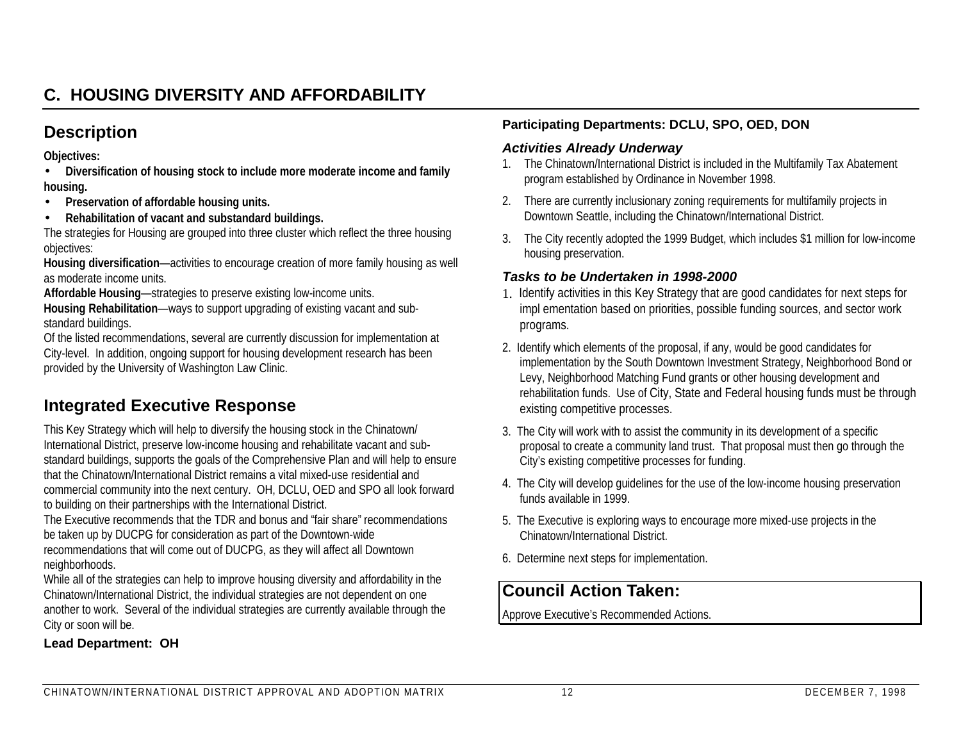# **C. HOUSING DIVERSITY AND AFFORDABILITY**

## **Description**

**Objectives:**

- **Diversification of housing stock to include more moderate income and family housing.**
- •**Preservation of affordable housing units.**
- •**Rehabilitation of vacant and substandard buildings.**

The strategies for Housing are grouped into three cluster which reflect the three housing objectives:

**Housing diversification**—activities to encourage creation of more family housing as well as moderate income units.

**Affordable Housing**—strategies to preserve existing low-income units.

**Housing Rehabilitation**—ways to support upgrading of existing vacant and substandard buildings.

Of the listed recommendations, several are currently discussion for implementation at City-level. In addition, ongoing support for housing development research has been provided by the University of Washington Law Clinic.

# **Integrated Executive Response**

This Key Strategy which will help to diversify the housing stock in the Chinatown/ International District, preserve low-income housing and rehabilitate vacant and substandard buildings, supports the goals of the Comprehensive Plan and will help to ensure that the Chinatown/International District remains a vital mixed-use residential andcommercial community into the next century. OH, DCLU, OED and SPO all look forward to building on their partnerships with the International District.

The Executive recommends that the TDR and bonus and "fair share" recommendationsbe taken up by DUCPG for consideration as part of the Downtown-wide recommendations that will come out of DUCPG, as they will affect all Downtown neighborhoods.

While all of the strategies can help to improve housing diversity and affordability in the Chinatown/International District, the individual strategies are not dependent on one another to work. Several of the individual strategies are currently available through the City or soon will be.

## **Lead Department: OH**

#### **Participating Departments: DCLU, SPO, OED, DON**

#### *Activities Already Underway*

- 1. The Chinatown/International District is included in the Multifamily Tax Abatement program established by Ordinance in November 1998.
- 2. There are currently inclusionary zoning requirements for multifamily projects in Downtown Seattle, including the Chinatown/International District.
- 3. The City recently adopted the 1999 Budget, which includes \$1 million for low-income housing preservation.

#### *Tasks to be Undertaken in 1998-2000*

- 1. Identify activities in this Key Strategy that are good candidates for next steps for impl ementation based on priorities, possible funding sources, and sector work programs.
- 2. Identify which elements of the proposal, if any, would be good candidates for implementation by the South Downtown Investment Strategy, Neighborhood Bond or Levy, Neighborhood Matching Fund grants or other housing development and rehabilitation funds. Use of City, State and Federal housing funds must be through existing competitive processes.
- 3. The City will work with to assist the community in its development of a specific proposal to create a community land trust. That proposal must then go through the City's existing competitive processes for funding.
- 4. The City will develop guidelines for the use of the low-income housing preservation funds available in 1999.
- 5. The Executive is exploring ways to encourage more mixed-use projects in the Chinatown/International District.
- 6. Determine next steps for implementation.

## **Council Action Taken:**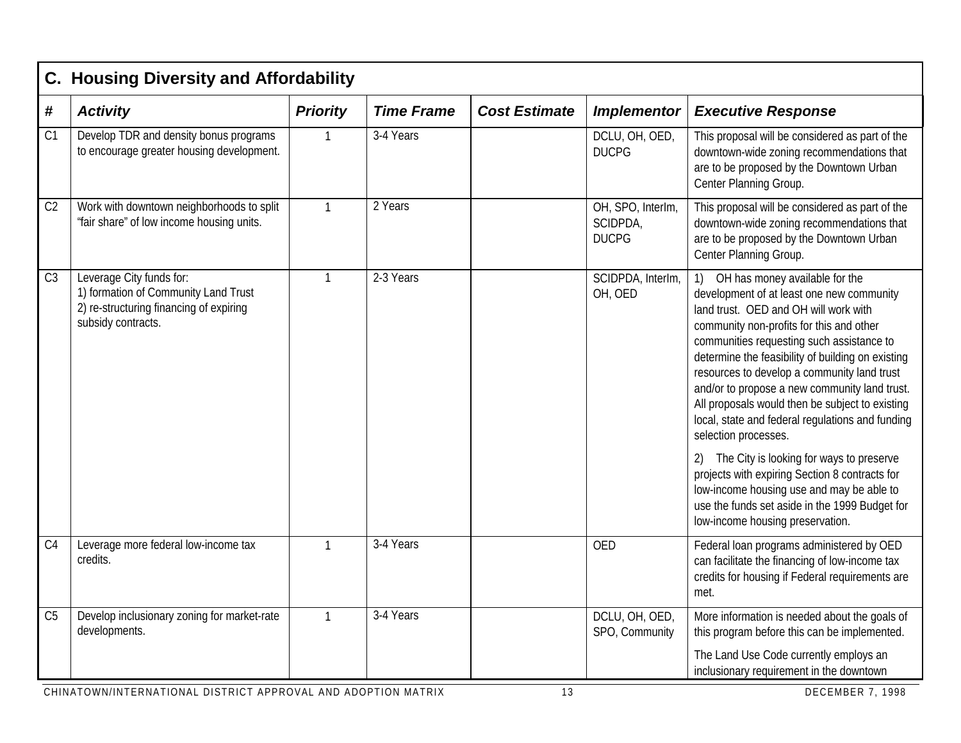| С.             | <b>Housing Diversity and Affordability</b>                                                                                        |                 |                   |                      |                                               |                                                                                                                                                                                                                                                                                                                                                                                                                                                                                                                                                                                                                                                                                                                                                                                          |  |  |  |
|----------------|-----------------------------------------------------------------------------------------------------------------------------------|-----------------|-------------------|----------------------|-----------------------------------------------|------------------------------------------------------------------------------------------------------------------------------------------------------------------------------------------------------------------------------------------------------------------------------------------------------------------------------------------------------------------------------------------------------------------------------------------------------------------------------------------------------------------------------------------------------------------------------------------------------------------------------------------------------------------------------------------------------------------------------------------------------------------------------------------|--|--|--|
| #              | <b>Activity</b>                                                                                                                   | <b>Priority</b> | <b>Time Frame</b> | <b>Cost Estimate</b> | <b>Implementor</b>                            | <b>Executive Response</b>                                                                                                                                                                                                                                                                                                                                                                                                                                                                                                                                                                                                                                                                                                                                                                |  |  |  |
| C <sub>1</sub> | Develop TDR and density bonus programs<br>to encourage greater housing development.                                               | 1               | 3-4 Years         |                      | DCLU, OH, OED,<br><b>DUCPG</b>                | This proposal will be considered as part of the<br>downtown-wide zoning recommendations that<br>are to be proposed by the Downtown Urban<br>Center Planning Group.                                                                                                                                                                                                                                                                                                                                                                                                                                                                                                                                                                                                                       |  |  |  |
| C <sub>2</sub> | Work with downtown neighborhoods to split<br>"fair share" of low income housing units.                                            | $\mathbf{1}$    | 2 Years           |                      | OH, SPO, Interlm,<br>SCIDPDA,<br><b>DUCPG</b> | This proposal will be considered as part of the<br>downtown-wide zoning recommendations that<br>are to be proposed by the Downtown Urban<br>Center Planning Group.                                                                                                                                                                                                                                                                                                                                                                                                                                                                                                                                                                                                                       |  |  |  |
| C <sub>3</sub> | Leverage City funds for:<br>1) formation of Community Land Trust<br>2) re-structuring financing of expiring<br>subsidy contracts. | $\mathbf{1}$    | 2-3 Years         |                      | SCIDPDA, InterIm,<br>OH, OED                  | OH has money available for the<br>$\left( \begin{array}{c} 1 \end{array} \right)$<br>development of at least one new community<br>land trust. OED and OH will work with<br>community non-profits for this and other<br>communities requesting such assistance to<br>determine the feasibility of building on existing<br>resources to develop a community land trust<br>and/or to propose a new community land trust.<br>All proposals would then be subject to existing<br>local, state and federal regulations and funding<br>selection processes.<br>2) The City is looking for ways to preserve<br>projects with expiring Section 8 contracts for<br>low-income housing use and may be able to<br>use the funds set aside in the 1999 Budget for<br>low-income housing preservation. |  |  |  |
| C <sub>4</sub> | Leverage more federal low-income tax<br>credits.                                                                                  | $\mathbf{1}$    | 3-4 Years         |                      | <b>OED</b>                                    | Federal loan programs administered by OED<br>can facilitate the financing of low-income tax<br>credits for housing if Federal requirements are<br>met.                                                                                                                                                                                                                                                                                                                                                                                                                                                                                                                                                                                                                                   |  |  |  |
| C <sub>5</sub> | Develop inclusionary zoning for market-rate<br>developments.                                                                      | 1               | 3-4 Years         |                      | DCLU, OH, OED,<br>SPO, Community              | More information is needed about the goals of<br>this program before this can be implemented.                                                                                                                                                                                                                                                                                                                                                                                                                                                                                                                                                                                                                                                                                            |  |  |  |
|                |                                                                                                                                   |                 |                   |                      |                                               | The Land Use Code currently employs an<br>inclusionary requirement in the downtown                                                                                                                                                                                                                                                                                                                                                                                                                                                                                                                                                                                                                                                                                                       |  |  |  |
|                | CHINATOWN/INTERNATIONAL DISTRICT APPROVAL AND ADOPTION MATRIX                                                                     |                 |                   | 13                   |                                               | <b>DECEMBER 7, 1998</b>                                                                                                                                                                                                                                                                                                                                                                                                                                                                                                                                                                                                                                                                                                                                                                  |  |  |  |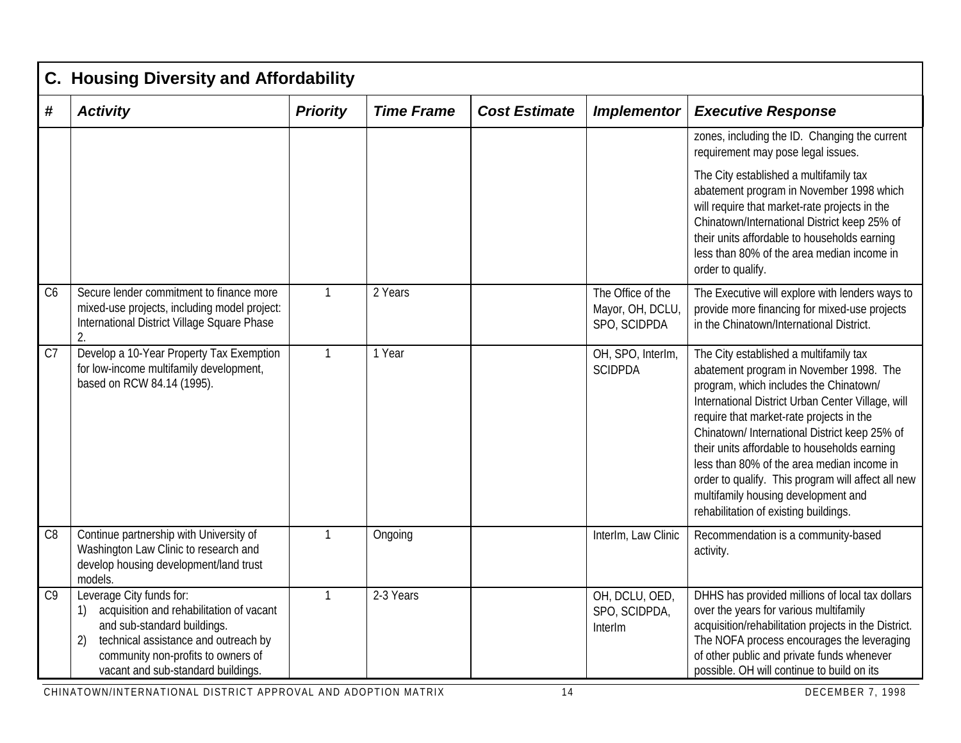|                | C. Housing Diversity and Affordability                                                                                                                                                                                              |                 |                   |                      |                                                       |                                                                                                                                                                                                                                                                                                                                                                                                                                                                                                                   |  |  |  |  |
|----------------|-------------------------------------------------------------------------------------------------------------------------------------------------------------------------------------------------------------------------------------|-----------------|-------------------|----------------------|-------------------------------------------------------|-------------------------------------------------------------------------------------------------------------------------------------------------------------------------------------------------------------------------------------------------------------------------------------------------------------------------------------------------------------------------------------------------------------------------------------------------------------------------------------------------------------------|--|--|--|--|
| #              | <b>Activity</b>                                                                                                                                                                                                                     | <b>Priority</b> | <b>Time Frame</b> | <b>Cost Estimate</b> | <b>Implementor</b>                                    | <b>Executive Response</b>                                                                                                                                                                                                                                                                                                                                                                                                                                                                                         |  |  |  |  |
|                |                                                                                                                                                                                                                                     |                 |                   |                      |                                                       | zones, including the ID. Changing the current<br>requirement may pose legal issues.                                                                                                                                                                                                                                                                                                                                                                                                                               |  |  |  |  |
|                |                                                                                                                                                                                                                                     |                 |                   |                      |                                                       | The City established a multifamily tax<br>abatement program in November 1998 which<br>will require that market-rate projects in the<br>Chinatown/International District keep 25% of<br>their units affordable to households earning<br>less than 80% of the area median income in<br>order to qualify.                                                                                                                                                                                                            |  |  |  |  |
| C6             | Secure lender commitment to finance more<br>mixed-use projects, including model project:<br>International District Village Square Phase<br>2.                                                                                       | $\mathbf{1}$    | 2 Years           |                      | The Office of the<br>Mayor, OH, DCLU,<br>SPO, SCIDPDA | The Executive will explore with lenders ways to<br>provide more financing for mixed-use projects<br>in the Chinatown/International District.                                                                                                                                                                                                                                                                                                                                                                      |  |  |  |  |
| C <sub>7</sub> | Develop a 10-Year Property Tax Exemption<br>for low-income multifamily development,<br>based on RCW 84.14 (1995).                                                                                                                   | $\mathbf{1}$    | 1 Year            |                      | OH, SPO, InterIm,<br><b>SCIDPDA</b>                   | The City established a multifamily tax<br>abatement program in November 1998. The<br>program, which includes the Chinatown/<br>International District Urban Center Village, will<br>require that market-rate projects in the<br>Chinatown/ International District keep 25% of<br>their units affordable to households earning<br>less than 80% of the area median income in<br>order to qualify. This program will affect all new<br>multifamily housing development and<br>rehabilitation of existing buildings. |  |  |  |  |
| C8             | Continue partnership with University of<br>Washington Law Clinic to research and<br>develop housing development/land trust<br>models.                                                                                               | $\mathbf{1}$    | Ongoing           |                      | InterIm, Law Clinic                                   | Recommendation is a community-based<br>activity.                                                                                                                                                                                                                                                                                                                                                                                                                                                                  |  |  |  |  |
| C <sub>9</sub> | Leverage City funds for:<br>acquisition and rehabilitation of vacant<br>1)<br>and sub-standard buildings.<br>2)<br>technical assistance and outreach by<br>community non-profits to owners of<br>vacant and sub-standard buildings. | $\mathbf{1}$    | 2-3 Years         |                      | OH, DCLU, OED,<br>SPO, SCIDPDA,<br>InterIm            | DHHS has provided millions of local tax dollars<br>over the years for various multifamily<br>acquisition/rehabilitation projects in the District.<br>The NOFA process encourages the leveraging<br>of other public and private funds whenever<br>possible. OH will continue to build on its                                                                                                                                                                                                                       |  |  |  |  |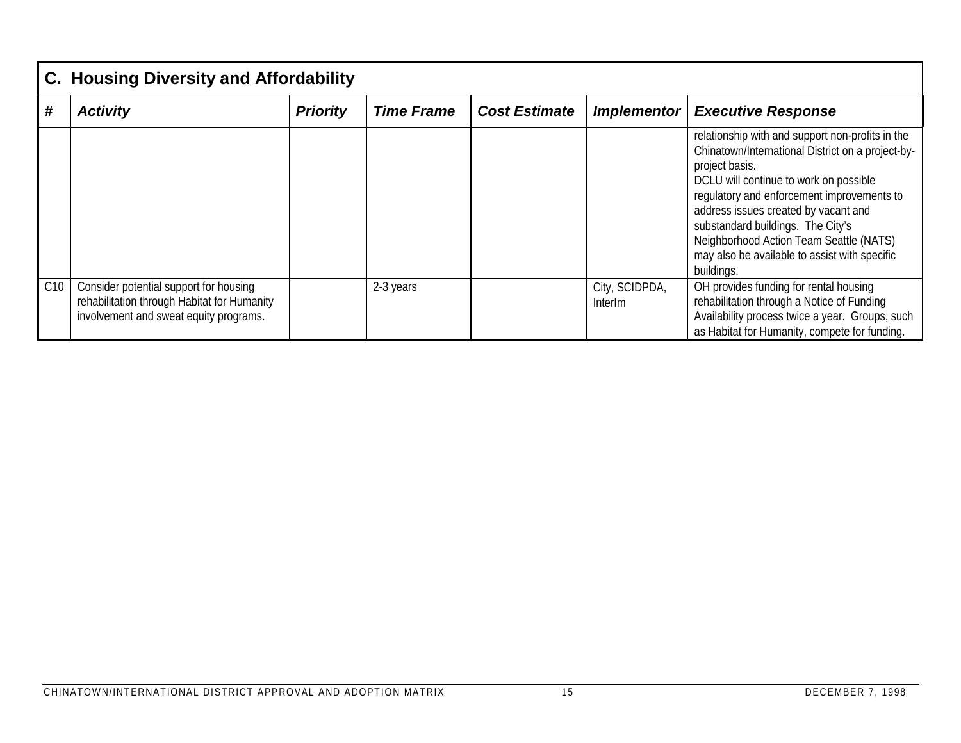|     | <b>C. Housing Diversity and Affordability</b>                                                                                   |                 |                   |                      |                           |                                                                                                                                                                                                                                                                                                                                                                                                        |  |  |  |
|-----|---------------------------------------------------------------------------------------------------------------------------------|-----------------|-------------------|----------------------|---------------------------|--------------------------------------------------------------------------------------------------------------------------------------------------------------------------------------------------------------------------------------------------------------------------------------------------------------------------------------------------------------------------------------------------------|--|--|--|
| #   | <b>Activity</b>                                                                                                                 | <b>Priority</b> | <b>Time Frame</b> | <b>Cost Estimate</b> | Implementor               | <b>Executive Response</b>                                                                                                                                                                                                                                                                                                                                                                              |  |  |  |
|     |                                                                                                                                 |                 |                   |                      |                           | relationship with and support non-profits in the<br>Chinatown/International District on a project-by-<br>project basis.<br>DCLU will continue to work on possible<br>regulatory and enforcement improvements to<br>address issues created by vacant and<br>substandard buildings. The City's<br>Neighborhood Action Team Seattle (NATS)<br>may also be available to assist with specific<br>buildings. |  |  |  |
| C10 | Consider potential support for housing<br>rehabilitation through Habitat for Humanity<br>involvement and sweat equity programs. |                 | 2-3 years         |                      | City, SCIDPDA,<br>Interlm | OH provides funding for rental housing<br>rehabilitation through a Notice of Funding<br>Availability process twice a year. Groups, such<br>as Habitat for Humanity, compete for funding.                                                                                                                                                                                                               |  |  |  |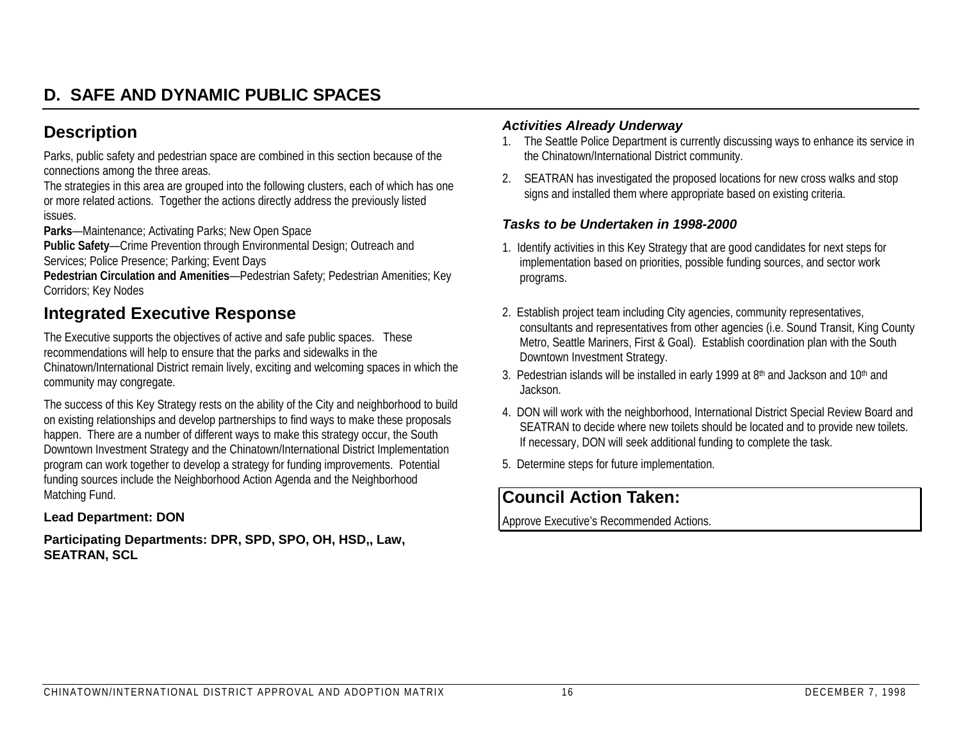# **D. SAFE AND DYNAMIC PUBLIC SPACES**

## **Description**

Parks, public safety and pedestrian space are combined in this section because of the connections among the three areas.

The strategies in this area are grouped into the following clusters, each of which has one or more related actions. Together the actions directly address the previously listed issues.

**Parks**—Maintenance; Activating Parks; New Open Space

**Public Safety**—Crime Prevention through Environmental Design; Outreach and Services; Police Presence; Parking; Event Days

**Pedestrian Circulation and Amenities**—Pedestrian Safety; Pedestrian Amenities; Key Corridors; Key Nodes

## **Integrated Executive Response**

The Executive supports the objectives of active and safe public spaces. These recommendations will help to ensure that the parks and sidewalks in the Chinatown/International District remain lively, exciting and welcoming spaces in which the

community may congregate.

The success of this Key Strategy rests on the ability of the City and neighborhood to build on existing relationships and develop partnerships to find ways to make these proposals happen. There are a number of different ways to make this strategy occur, the South Downtown Investment Strategy and the Chinatown/International District Implementation program can work together to develop a strategy for funding improvements. Potential funding sources include the Neighborhood Action Agenda and the Neighborhood Matching Fund.

#### **Lead Department: DON**

**Participating Departments: DPR, SPD, SPO, OH, HSD,, Law, SEATRAN, SCL**

#### *Activities Already Underway*

- 1. The Seattle Police Department is currently discussing ways to enhance its service in the Chinatown/International District community.
- 2. SEATRAN has investigated the proposed locations for new cross walks and stop signs and installed them where appropriate based on existing criteria.

#### *Tasks to be Undertaken in 1998-2000*

- 1. Identify activities in this Key Strategy that are good candidates for next steps for implementation based on priorities, possible funding sources, and sector work programs.
- 2. Establish project team including City agencies, community representatives, consultants and representatives from other agencies (i.e. Sound Transit, King County Metro, Seattle Mariners, First & Goal). Establish coordination plan with the South Downtown Investment Strategy.
- 3. Pedestrian islands will be installed in early 1999 at 8<sup>th</sup> and Jackson and 10<sup>th</sup> and **Jackson**
- 4. DON will work with the neighborhood, International District Special Review Board and SEATRAN to decide where new toilets should be located and to provide new toilets. If necessary, DON will seek additional funding to complete the task.
- 5. Determine steps for future implementation.

# **Council Action Taken:**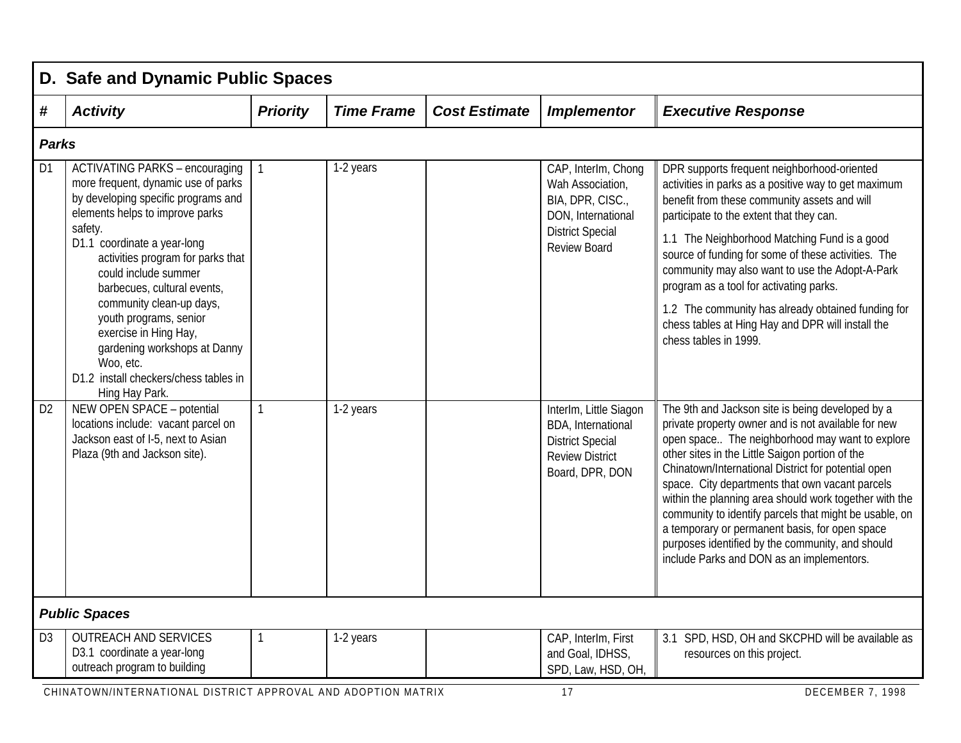|                | D. Safe and Dynamic Public Spaces                                                                                                                                                                                                                                                                                                                                                                                                                                 |                 |                   |                      |                                                                                                                                     |                                                                                                                                                                                                                                                                                                                                                                                                                                                                                                                                                                                                |  |  |  |
|----------------|-------------------------------------------------------------------------------------------------------------------------------------------------------------------------------------------------------------------------------------------------------------------------------------------------------------------------------------------------------------------------------------------------------------------------------------------------------------------|-----------------|-------------------|----------------------|-------------------------------------------------------------------------------------------------------------------------------------|------------------------------------------------------------------------------------------------------------------------------------------------------------------------------------------------------------------------------------------------------------------------------------------------------------------------------------------------------------------------------------------------------------------------------------------------------------------------------------------------------------------------------------------------------------------------------------------------|--|--|--|
| #              | <b>Activity</b>                                                                                                                                                                                                                                                                                                                                                                                                                                                   | <b>Priority</b> | <b>Time Frame</b> | <b>Cost Estimate</b> | <b>Implementor</b>                                                                                                                  | <b>Executive Response</b>                                                                                                                                                                                                                                                                                                                                                                                                                                                                                                                                                                      |  |  |  |
|                | <b>Parks</b>                                                                                                                                                                                                                                                                                                                                                                                                                                                      |                 |                   |                      |                                                                                                                                     |                                                                                                                                                                                                                                                                                                                                                                                                                                                                                                                                                                                                |  |  |  |
| D <sub>1</sub> | <b>ACTIVATING PARKS - encouraging</b><br>more frequent, dynamic use of parks<br>by developing specific programs and<br>elements helps to improve parks<br>safety.<br>D1.1 coordinate a year-long<br>activities program for parks that<br>could include summer<br>barbecues, cultural events,<br>community clean-up days,<br>youth programs, senior<br>exercise in Hing Hay,<br>gardening workshops at Danny<br>Woo, etc.<br>D1.2 install checkers/chess tables in | $\mathbf{1}$    | 1-2 years         |                      | CAP, InterIm, Chong<br>Wah Association,<br>BIA, DPR, CISC.,<br>DON, International<br><b>District Special</b><br><b>Review Board</b> | DPR supports frequent neighborhood-oriented<br>activities in parks as a positive way to get maximum<br>benefit from these community assets and will<br>participate to the extent that they can.<br>1.1 The Neighborhood Matching Fund is a good<br>source of funding for some of these activities. The<br>community may also want to use the Adopt-A-Park<br>program as a tool for activating parks.<br>1.2 The community has already obtained funding for<br>chess tables at Hing Hay and DPR will install the<br>chess tables in 1999.                                                       |  |  |  |
| D <sub>2</sub> | Hing Hay Park.<br>NEW OPEN SPACE - potential<br>locations include: vacant parcel on<br>Jackson east of I-5, next to Asian<br>Plaza (9th and Jackson site).                                                                                                                                                                                                                                                                                                        | $\mathbf{1}$    | 1-2 years         |                      | InterIm, Little Siagon<br>BDA, International<br><b>District Special</b><br><b>Review District</b><br>Board, DPR, DON                | The 9th and Jackson site is being developed by a<br>private property owner and is not available for new<br>open space The neighborhood may want to explore<br>other sites in the Little Saigon portion of the<br>Chinatown/International District for potential open<br>space. City departments that own vacant parcels<br>within the planning area should work together with the<br>community to identify parcels that might be usable, on<br>a temporary or permanent basis, for open space<br>purposes identified by the community, and should<br>include Parks and DON as an implementors. |  |  |  |
|                | <b>Public Spaces</b>                                                                                                                                                                                                                                                                                                                                                                                                                                              |                 |                   |                      |                                                                                                                                     |                                                                                                                                                                                                                                                                                                                                                                                                                                                                                                                                                                                                |  |  |  |
| D <sub>3</sub> | <b>OUTREACH AND SERVICES</b><br>D3.1 coordinate a year-long<br>outreach program to building                                                                                                                                                                                                                                                                                                                                                                       | -1              | 1-2 years         |                      | CAP, InterIm, First<br>and Goal, IDHSS,<br>SPD, Law, HSD, OH,                                                                       | 3.1 SPD, HSD, OH and SKCPHD will be available as<br>resources on this project.                                                                                                                                                                                                                                                                                                                                                                                                                                                                                                                 |  |  |  |
|                | CUINATOWN/INTEDNATIONAL DICTRICT ADDROVAL AND ADODTION MATRIX                                                                                                                                                                                                                                                                                                                                                                                                     |                 |                   |                      | 17                                                                                                                                  | DECEMBED 7 1000                                                                                                                                                                                                                                                                                                                                                                                                                                                                                                                                                                                |  |  |  |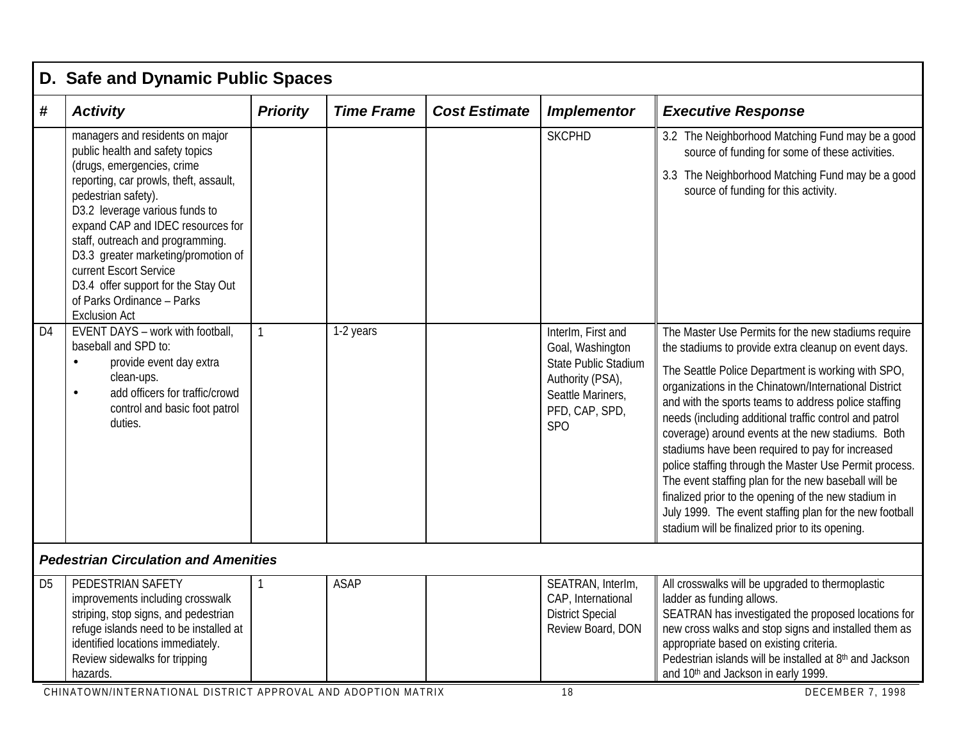|                | D. Safe and Dynamic Public Spaces                                                                                                                                                                                                                                                                                                                                                                                                                                                                                                                            |                 |                   |                      |                                                                                         |                                                                                                                                                                                                                                                                                                                                                                                                                                                                                                                                                                          |  |  |  |  |  |
|----------------|--------------------------------------------------------------------------------------------------------------------------------------------------------------------------------------------------------------------------------------------------------------------------------------------------------------------------------------------------------------------------------------------------------------------------------------------------------------------------------------------------------------------------------------------------------------|-----------------|-------------------|----------------------|-----------------------------------------------------------------------------------------|--------------------------------------------------------------------------------------------------------------------------------------------------------------------------------------------------------------------------------------------------------------------------------------------------------------------------------------------------------------------------------------------------------------------------------------------------------------------------------------------------------------------------------------------------------------------------|--|--|--|--|--|
| #              | <b>Activity</b>                                                                                                                                                                                                                                                                                                                                                                                                                                                                                                                                              | <b>Priority</b> | <b>Time Frame</b> | <b>Cost Estimate</b> | <b>Implementor</b>                                                                      | <b>Executive Response</b>                                                                                                                                                                                                                                                                                                                                                                                                                                                                                                                                                |  |  |  |  |  |
| D <sub>4</sub> | managers and residents on major<br>public health and safety topics<br>(drugs, emergencies, crime<br>reporting, car prowls, theft, assault,<br>pedestrian safety).<br>D3.2 leverage various funds to<br>expand CAP and IDEC resources for<br>staff, outreach and programming.<br>D3.3 greater marketing/promotion of<br>current Escort Service<br>D3.4 offer support for the Stay Out<br>of Parks Ordinance - Parks<br><b>Exclusion Act</b><br>EVENT DAYS - work with football,<br>baseball and SPD to:<br>provide event day extra<br>$\bullet$<br>clean-ups. | $\mathbf{1}$    | 1-2 years         |                      | <b>SKCPHD</b><br>InterIm, First and<br>Goal, Washington<br><b>State Public Stadium</b>  | 3.2 The Neighborhood Matching Fund may be a good<br>source of funding for some of these activities.<br>3.3 The Neighborhood Matching Fund may be a good<br>source of funding for this activity.<br>The Master Use Permits for the new stadiums require<br>the stadiums to provide extra cleanup on event days.<br>The Seattle Police Department is working with SPO,                                                                                                                                                                                                     |  |  |  |  |  |
|                | add officers for traffic/crowd<br>$\bullet$<br>control and basic foot patrol<br>duties.                                                                                                                                                                                                                                                                                                                                                                                                                                                                      |                 |                   |                      | Authority (PSA),<br>Seattle Mariners,<br>PFD, CAP, SPD,<br>SP <sub>O</sub>              | organizations in the Chinatown/International District<br>and with the sports teams to address police staffing<br>needs (including additional traffic control and patrol<br>coverage) around events at the new stadiums. Both<br>stadiums have been required to pay for increased<br>police staffing through the Master Use Permit process.<br>The event staffing plan for the new baseball will be<br>finalized prior to the opening of the new stadium in<br>July 1999. The event staffing plan for the new football<br>stadium will be finalized prior to its opening. |  |  |  |  |  |
|                | <b>Pedestrian Circulation and Amenities</b>                                                                                                                                                                                                                                                                                                                                                                                                                                                                                                                  |                 |                   |                      |                                                                                         |                                                                                                                                                                                                                                                                                                                                                                                                                                                                                                                                                                          |  |  |  |  |  |
| D <sub>5</sub> | PEDESTRIAN SAFETY<br>improvements including crosswalk<br>striping, stop signs, and pedestrian<br>refuge islands need to be installed at<br>identified locations immediately.<br>Review sidewalks for tripping<br>hazards.                                                                                                                                                                                                                                                                                                                                    | $\mathbf{1}$    | <b>ASAP</b>       |                      | SEATRAN, Interlm,<br>CAP, International<br><b>District Special</b><br>Review Board, DON | All crosswalks will be upgraded to thermoplastic<br>ladder as funding allows.<br>SEATRAN has investigated the proposed locations for<br>new cross walks and stop signs and installed them as<br>appropriate based on existing criteria.<br>Pedestrian islands will be installed at 8th and Jackson<br>and 10th and Jackson in early 1999.                                                                                                                                                                                                                                |  |  |  |  |  |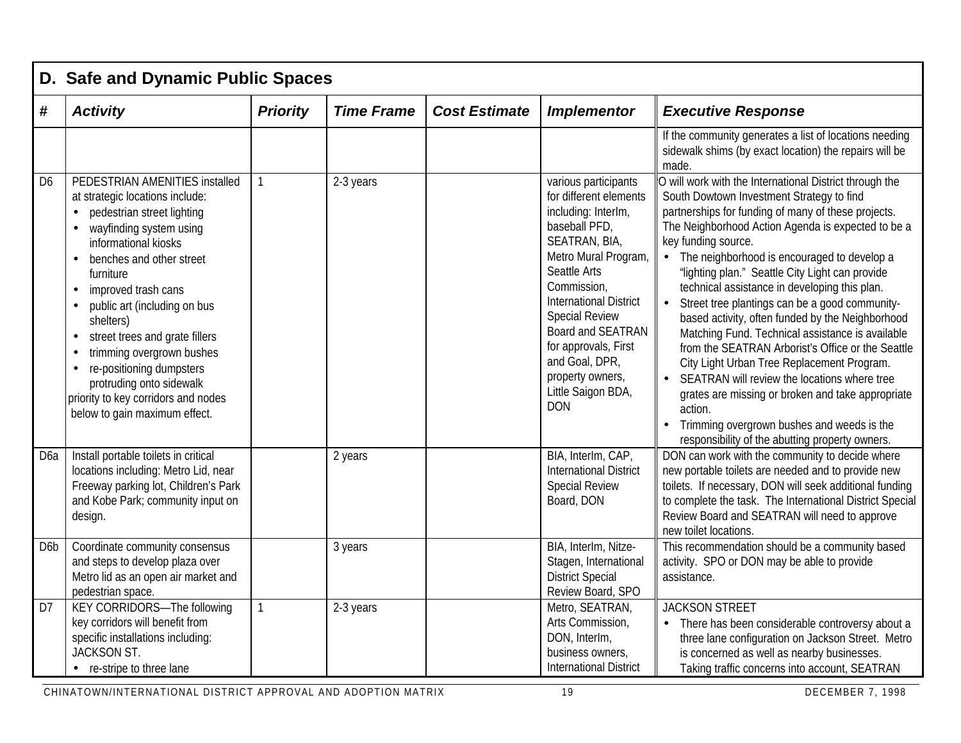|                  | D. Safe and Dynamic Public Spaces                                                                                                                                                                                                                                                                                                                                                                                                                                                                                  |                 |                   |                      |                                                                                                                                                                                                                                                                                                                                                 |                                                                                                                                                                                                                                                                                                                                                                                                                                                                                                                                                                                                                                                                                                                                                                                                                                                                                            |
|------------------|--------------------------------------------------------------------------------------------------------------------------------------------------------------------------------------------------------------------------------------------------------------------------------------------------------------------------------------------------------------------------------------------------------------------------------------------------------------------------------------------------------------------|-----------------|-------------------|----------------------|-------------------------------------------------------------------------------------------------------------------------------------------------------------------------------------------------------------------------------------------------------------------------------------------------------------------------------------------------|--------------------------------------------------------------------------------------------------------------------------------------------------------------------------------------------------------------------------------------------------------------------------------------------------------------------------------------------------------------------------------------------------------------------------------------------------------------------------------------------------------------------------------------------------------------------------------------------------------------------------------------------------------------------------------------------------------------------------------------------------------------------------------------------------------------------------------------------------------------------------------------------|
| #                | <b>Activity</b>                                                                                                                                                                                                                                                                                                                                                                                                                                                                                                    | <b>Priority</b> | <b>Time Frame</b> | <b>Cost Estimate</b> | <b>Implementor</b>                                                                                                                                                                                                                                                                                                                              | <b>Executive Response</b>                                                                                                                                                                                                                                                                                                                                                                                                                                                                                                                                                                                                                                                                                                                                                                                                                                                                  |
|                  |                                                                                                                                                                                                                                                                                                                                                                                                                                                                                                                    |                 |                   |                      |                                                                                                                                                                                                                                                                                                                                                 | If the community generates a list of locations needing<br>sidewalk shims (by exact location) the repairs will be<br>made.                                                                                                                                                                                                                                                                                                                                                                                                                                                                                                                                                                                                                                                                                                                                                                  |
| D <sub>6</sub>   | PEDESTRIAN AMENITIES installed<br>at strategic locations include:<br>pedestrian street lighting<br>$\bullet$<br>wayfinding system using<br>informational kiosks<br>benches and other street<br>furniture<br>improved trash cans<br>$\bullet$<br>public art (including on bus<br>$\bullet$<br>shelters)<br>street trees and grate fillers<br>$\bullet$<br>trimming overgrown bushes<br>re-positioning dumpsters<br>protruding onto sidewalk<br>priority to key corridors and nodes<br>below to gain maximum effect. | $\mathbf{1}$    | 2-3 years         |                      | various participants<br>for different elements<br>including: InterIm,<br>baseball PFD,<br>SEATRAN, BIA,<br>Metro Mural Program,<br>Seattle Arts<br>Commission,<br><b>International District</b><br><b>Special Review</b><br>Board and SEATRAN<br>for approvals, First<br>and Goal, DPR,<br>property owners,<br>Little Saigon BDA,<br><b>DON</b> | O will work with the International District through the<br>South Dowtown Investment Strategy to find<br>partnerships for funding of many of these projects.<br>The Neighborhood Action Agenda is expected to be a<br>key funding source.<br>• The neighborhood is encouraged to develop a<br>"lighting plan." Seattle City Light can provide<br>technical assistance in developing this plan.<br>Street tree plantings can be a good community-<br>$\bullet$<br>based activity, often funded by the Neighborhood<br>Matching Fund. Technical assistance is available<br>from the SEATRAN Arborist's Office or the Seattle<br>City Light Urban Tree Replacement Program.<br>• SEATRAN will review the locations where tree<br>grates are missing or broken and take appropriate<br>action.<br>Trimming overgrown bushes and weeds is the<br>responsibility of the abutting property owners. |
| D <sub>6</sub> a | Install portable toilets in critical<br>locations including: Metro Lid, near<br>Freeway parking lot, Children's Park<br>and Kobe Park; community input on<br>design.                                                                                                                                                                                                                                                                                                                                               |                 | 2 years           |                      | BIA, InterIm, CAP,<br><b>International District</b><br><b>Special Review</b><br>Board, DON                                                                                                                                                                                                                                                      | DON can work with the community to decide where<br>new portable toilets are needed and to provide new<br>toilets. If necessary, DON will seek additional funding<br>to complete the task. The International District Special<br>Review Board and SEATRAN will need to approve<br>new toilet locations.                                                                                                                                                                                                                                                                                                                                                                                                                                                                                                                                                                                     |
| D <sub>6</sub> b | Coordinate community consensus<br>and steps to develop plaza over<br>Metro lid as an open air market and<br>pedestrian space.                                                                                                                                                                                                                                                                                                                                                                                      |                 | 3 years           |                      | BIA, Interlm, Nitze-<br>Stagen, International<br><b>District Special</b><br>Review Board, SPO                                                                                                                                                                                                                                                   | This recommendation should be a community based<br>activity. SPO or DON may be able to provide<br>assistance.                                                                                                                                                                                                                                                                                                                                                                                                                                                                                                                                                                                                                                                                                                                                                                              |
| D <sub>7</sub>   | <b>KEY CORRIDORS-The following</b><br>key corridors will benefit from<br>specific installations including:<br>JACKSON ST.<br>• re-stripe to three lane                                                                                                                                                                                                                                                                                                                                                             | $\mathbf{1}$    | 2-3 years         |                      | Metro, SEATRAN,<br>Arts Commission,<br>DON, InterIm,<br>business owners,<br><b>International District</b>                                                                                                                                                                                                                                       | <b>JACKSON STREET</b><br>There has been considerable controversy about a<br>$\bullet$<br>three lane configuration on Jackson Street. Metro<br>is concerned as well as nearby businesses.<br>Taking traffic concerns into account, SEATRAN                                                                                                                                                                                                                                                                                                                                                                                                                                                                                                                                                                                                                                                  |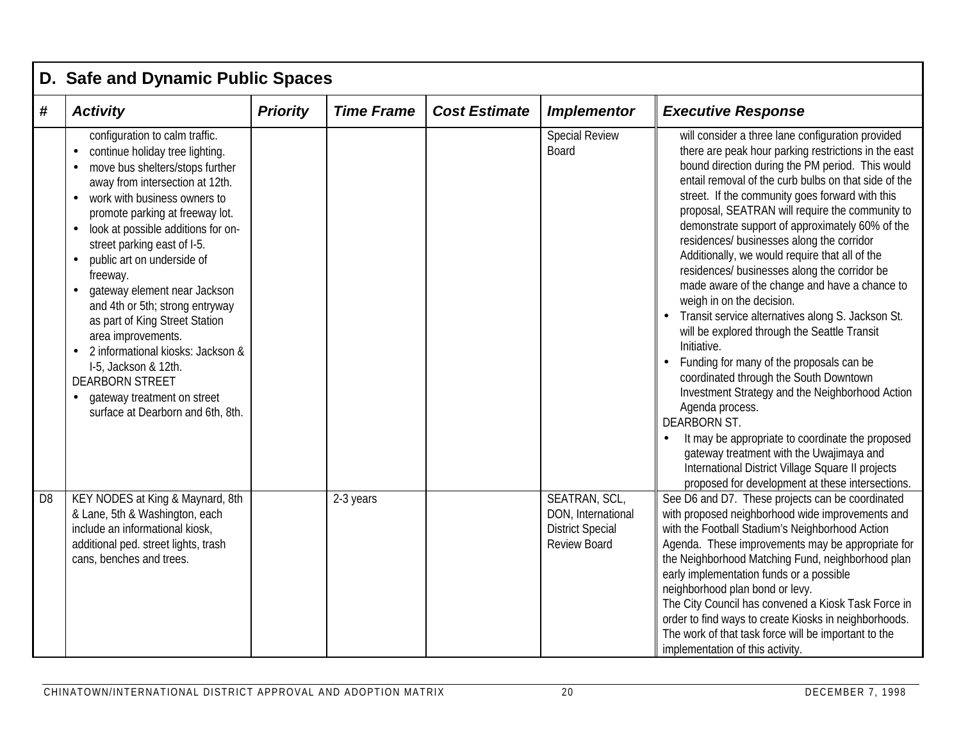|                | D. Safe and Dynamic Public Spaces                                                                                                                                                                                                                                                                                                                                                                                                                                                                                                                                                                               |                 |                   |                      |                                                                                       |                                                                                                                                                                                                                                                                                                                                                                                                                                                                                                                                                                                                                                                                                                                                                                                                                                                                                                                                                                                                                                                                                                                             |  |  |  |  |  |
|----------------|-----------------------------------------------------------------------------------------------------------------------------------------------------------------------------------------------------------------------------------------------------------------------------------------------------------------------------------------------------------------------------------------------------------------------------------------------------------------------------------------------------------------------------------------------------------------------------------------------------------------|-----------------|-------------------|----------------------|---------------------------------------------------------------------------------------|-----------------------------------------------------------------------------------------------------------------------------------------------------------------------------------------------------------------------------------------------------------------------------------------------------------------------------------------------------------------------------------------------------------------------------------------------------------------------------------------------------------------------------------------------------------------------------------------------------------------------------------------------------------------------------------------------------------------------------------------------------------------------------------------------------------------------------------------------------------------------------------------------------------------------------------------------------------------------------------------------------------------------------------------------------------------------------------------------------------------------------|--|--|--|--|--|
| #              | <b>Activity</b>                                                                                                                                                                                                                                                                                                                                                                                                                                                                                                                                                                                                 | <b>Priority</b> | <b>Time Frame</b> | <b>Cost Estimate</b> | <b>Implementor</b>                                                                    | <b>Executive Response</b>                                                                                                                                                                                                                                                                                                                                                                                                                                                                                                                                                                                                                                                                                                                                                                                                                                                                                                                                                                                                                                                                                                   |  |  |  |  |  |
|                | configuration to calm traffic.<br>continue holiday tree lighting.<br>move bus shelters/stops further<br>away from intersection at 12th.<br>work with business owners to<br>promote parking at freeway lot.<br>look at possible additions for on-<br>street parking east of I-5.<br>public art on underside of<br>freeway.<br>gateway element near Jackson<br>and 4th or 5th; strong entryway<br>as part of King Street Station<br>area improvements.<br>2 informational kiosks: Jackson &<br>I-5, Jackson & 12th.<br><b>DEARBORN STREET</b><br>gateway treatment on street<br>surface at Dearborn and 6th, 8th. |                 |                   |                      | <b>Special Review</b><br><b>Board</b>                                                 | will consider a three lane configuration provided<br>there are peak hour parking restrictions in the east<br>bound direction during the PM period. This would<br>entail removal of the curb bulbs on that side of the<br>street. If the community goes forward with this<br>proposal, SEATRAN will require the community to<br>demonstrate support of approximately 60% of the<br>residences/ businesses along the corridor<br>Additionally, we would require that all of the<br>residences/ businesses along the corridor be<br>made aware of the change and have a chance to<br>weigh in on the decision.<br>Transit service alternatives along S. Jackson St.<br>will be explored through the Seattle Transit<br>Initiative.<br>Funding for many of the proposals can be<br>coordinated through the South Downtown<br>Investment Strategy and the Neighborhood Action<br>Agenda process.<br><b>DEARBORN ST.</b><br>It may be appropriate to coordinate the proposed<br>gateway treatment with the Uwajimaya and<br>International District Village Square II projects<br>proposed for development at these intersections. |  |  |  |  |  |
| D <sub>8</sub> | KEY NODES at King & Maynard, 8th<br>& Lane, 5th & Washington, each<br>include an informational kiosk,<br>additional ped. street lights, trash<br>cans, benches and trees.                                                                                                                                                                                                                                                                                                                                                                                                                                       |                 | 2-3 years         |                      | SEATRAN, SCL,<br>DON, International<br><b>District Special</b><br><b>Review Board</b> | See D6 and D7. These projects can be coordinated<br>with proposed neighborhood wide improvements and<br>with the Football Stadium's Neighborhood Action<br>Agenda. These improvements may be appropriate for<br>the Neighborhood Matching Fund, neighborhood plan<br>early implementation funds or a possible<br>neighborhood plan bond or levy.<br>The City Council has convened a Kiosk Task Force in<br>order to find ways to create Kiosks in neighborhoods.<br>The work of that task force will be important to the<br>implementation of this activity.                                                                                                                                                                                                                                                                                                                                                                                                                                                                                                                                                                |  |  |  |  |  |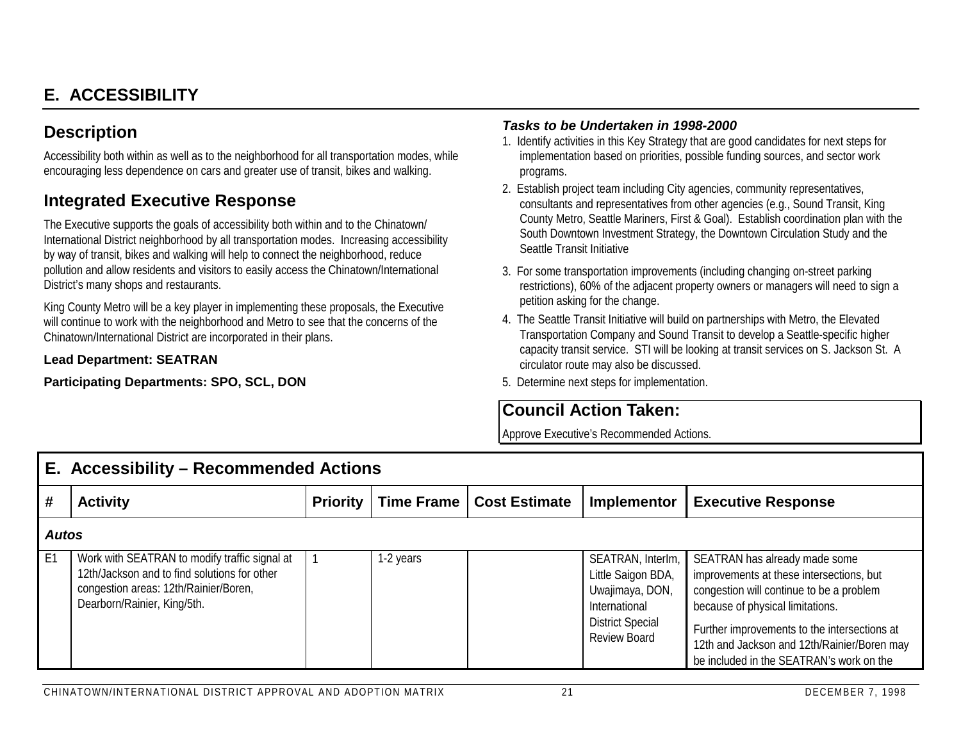# **E. ACCESSIBILITY**

## **Description**

Accessibility both within as well as to the neighborhood for all transportation modes, while encouraging less dependence on cars and greater use of transit, bikes and walking.

## **Integrated Executive Response**

The Executive supports the goals of accessibility both within and to the Chinatown/ International District neighborhood by all transportation modes. Increasing accessibility by way of transit, bikes and walking will help to connect the neighborhood, reduce pollution and allow residents and visitors to easily access the Chinatown/International District's many shops and restaurants.

King County Metro will be a key player in implementing these proposals, the Executive will continue to work with the neighborhood and Metro to see that the concerns of the Chinatown/International District are incorporated in their plans.

#### **Lead Department: SEATRAN**

**Participating Departments: SPO, SCL, DON**

#### *Tasks to be Undertaken in 1998-2000*

- 1. Identify activities in this Key Strategy that are good candidates for next steps for implementation based on priorities, possible funding sources, and sector work programs.
- 2. Establish project team including City agencies, community representatives, consultants and representatives from other agencies (e.g., Sound Transit, King County Metro, Seattle Mariners, First & Goal). Establish coordination plan with the South Downtown Investment Strategy, the Downtown Circulation Study and the Seattle Transit Initiative
- 3. For some transportation improvements (including changing on-street parking restrictions), 60% of the adjacent property owners or managers will need to sign a petition asking for the change.
- 4. The Seattle Transit Initiative will build on partnerships with Metro, the Elevated Transportation Company and Sound Transit to develop a Seattle-specific higher capacity transit service. STI will be looking at transit services on S. Jackson St. A circulator route may also be discussed.
- 5. Determine next steps for implementation.

## **Council Action Taken:**

|      | E. Accessibility – Recommended Actions                                                                                                                                |                 |           |                            |                                                                                                                               |                                                                                                                                                                                                                                                                                                      |  |  |  |  |
|------|-----------------------------------------------------------------------------------------------------------------------------------------------------------------------|-----------------|-----------|----------------------------|-------------------------------------------------------------------------------------------------------------------------------|------------------------------------------------------------------------------------------------------------------------------------------------------------------------------------------------------------------------------------------------------------------------------------------------------|--|--|--|--|
| #    | <b>Activity</b>                                                                                                                                                       | <b>Priority</b> |           | Time Frame   Cost Estimate | <b>Implementor</b>                                                                                                            | <b>Executive Response</b>                                                                                                                                                                                                                                                                            |  |  |  |  |
|      | <b>Autos</b>                                                                                                                                                          |                 |           |                            |                                                                                                                               |                                                                                                                                                                                                                                                                                                      |  |  |  |  |
| l E1 | Work with SEATRAN to modify traffic signal at<br>12th/Jackson and to find solutions for other<br>congestion areas: 12th/Rainier/Boren,<br>Dearborn/Rainier, King/5th. |                 | 1-2 years |                            | SEATRAN, Interlm,<br>Little Saigon BDA,<br>Uwajimaya, DON,<br>International<br><b>District Special</b><br><b>Review Board</b> | SEATRAN has already made some<br>improvements at these intersections, but<br>congestion will continue to be a problem<br>because of physical limitations.<br>Further improvements to the intersections at<br>12th and Jackson and 12th/Rainier/Boren may<br>be included in the SEATRAN's work on the |  |  |  |  |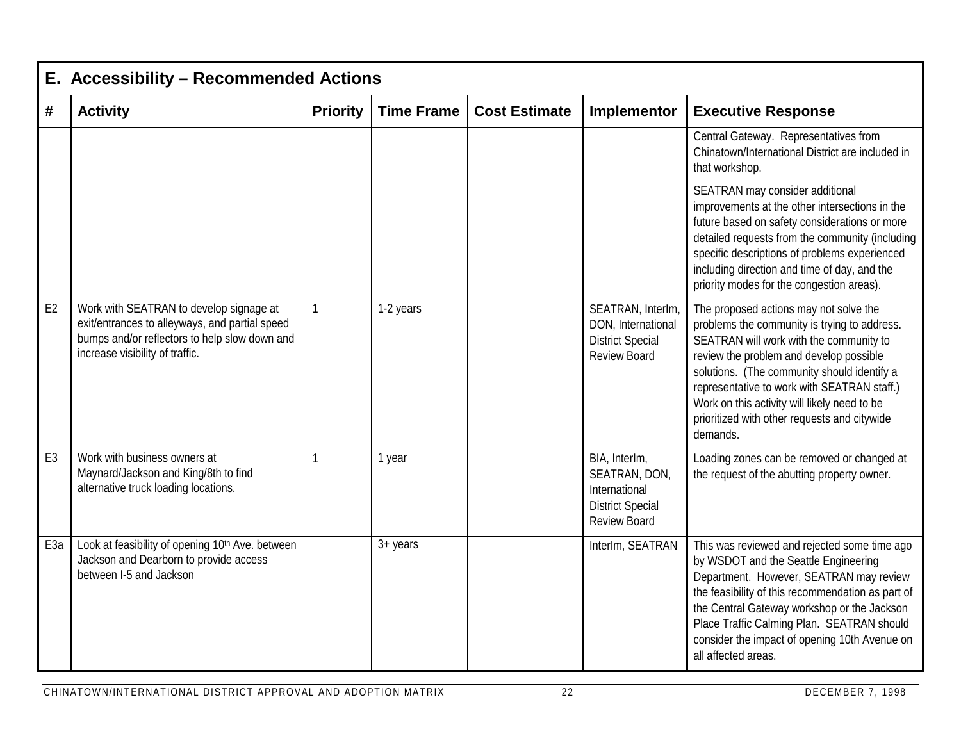|                 | E. Accessibility - Recommended Actions                                                                                                                                        |                 |                   |                      |                                                                                                   |                                                                                                                                                                                                                                                                                                                                                                                        |  |  |  |  |  |
|-----------------|-------------------------------------------------------------------------------------------------------------------------------------------------------------------------------|-----------------|-------------------|----------------------|---------------------------------------------------------------------------------------------------|----------------------------------------------------------------------------------------------------------------------------------------------------------------------------------------------------------------------------------------------------------------------------------------------------------------------------------------------------------------------------------------|--|--|--|--|--|
| #               | <b>Activity</b>                                                                                                                                                               | <b>Priority</b> | <b>Time Frame</b> | <b>Cost Estimate</b> | Implementor                                                                                       | <b>Executive Response</b>                                                                                                                                                                                                                                                                                                                                                              |  |  |  |  |  |
|                 |                                                                                                                                                                               |                 |                   |                      |                                                                                                   | Central Gateway. Representatives from<br>Chinatown/International District are included in<br>that workshop.                                                                                                                                                                                                                                                                            |  |  |  |  |  |
|                 |                                                                                                                                                                               |                 |                   |                      |                                                                                                   | SEATRAN may consider additional<br>improvements at the other intersections in the<br>future based on safety considerations or more<br>detailed requests from the community (including<br>specific descriptions of problems experienced<br>including direction and time of day, and the<br>priority modes for the congestion areas).                                                    |  |  |  |  |  |
| E <sub>2</sub>  | Work with SEATRAN to develop signage at<br>exit/entrances to alleyways, and partial speed<br>bumps and/or reflectors to help slow down and<br>increase visibility of traffic. | $\mathbf{1}$    | 1-2 years         |                      | SEATRAN, InterIm,<br>DON, International<br><b>District Special</b><br><b>Review Board</b>         | The proposed actions may not solve the<br>problems the community is trying to address.<br>SEATRAN will work with the community to<br>review the problem and develop possible<br>solutions. (The community should identify a<br>representative to work with SEATRAN staff.)<br>Work on this activity will likely need to be<br>prioritized with other requests and citywide<br>demands. |  |  |  |  |  |
| E <sub>3</sub>  | Work with business owners at<br>Maynard/Jackson and King/8th to find<br>alternative truck loading locations.                                                                  | $\mathbf{1}$    | 1 year            |                      | BIA, InterIm,<br>SEATRAN, DON,<br>International<br><b>District Special</b><br><b>Review Board</b> | Loading zones can be removed or changed at<br>the request of the abutting property owner.                                                                                                                                                                                                                                                                                              |  |  |  |  |  |
| E <sub>3a</sub> | Look at feasibility of opening 10 <sup>th</sup> Ave. between<br>Jackson and Dearborn to provide access<br>between I-5 and Jackson                                             |                 | $3 + \gamma$ ears |                      | InterIm, SEATRAN                                                                                  | This was reviewed and rejected some time ago<br>by WSDOT and the Seattle Engineering<br>Department. However, SEATRAN may review<br>the feasibility of this recommendation as part of<br>the Central Gateway workshop or the Jackson<br>Place Traffic Calming Plan. SEATRAN should<br>consider the impact of opening 10th Avenue on<br>all affected areas.                              |  |  |  |  |  |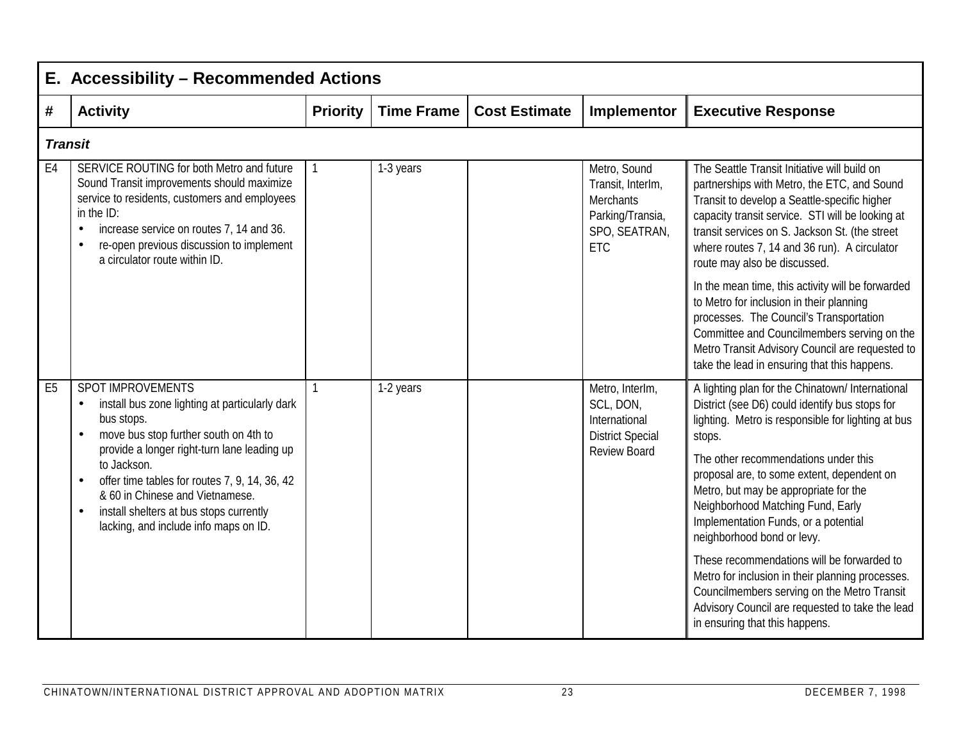|                | E. Accessibility - Recommended Actions                                                                                                                                                                                                                                                                                                                                                                                      |                 |                   |                      |                                                                                                          |                                                                                                                                                                                                                                                                                                                                                                                                                                                                                                                                                                                                                                                    |
|----------------|-----------------------------------------------------------------------------------------------------------------------------------------------------------------------------------------------------------------------------------------------------------------------------------------------------------------------------------------------------------------------------------------------------------------------------|-----------------|-------------------|----------------------|----------------------------------------------------------------------------------------------------------|----------------------------------------------------------------------------------------------------------------------------------------------------------------------------------------------------------------------------------------------------------------------------------------------------------------------------------------------------------------------------------------------------------------------------------------------------------------------------------------------------------------------------------------------------------------------------------------------------------------------------------------------------|
| #              | <b>Activity</b>                                                                                                                                                                                                                                                                                                                                                                                                             | <b>Priority</b> | <b>Time Frame</b> | <b>Cost Estimate</b> | Implementor                                                                                              | <b>Executive Response</b>                                                                                                                                                                                                                                                                                                                                                                                                                                                                                                                                                                                                                          |
| <b>Transit</b> |                                                                                                                                                                                                                                                                                                                                                                                                                             |                 |                   |                      |                                                                                                          |                                                                                                                                                                                                                                                                                                                                                                                                                                                                                                                                                                                                                                                    |
| E <sub>4</sub> | SERVICE ROUTING for both Metro and future<br>Sound Transit improvements should maximize<br>service to residents, customers and employees<br>in the ID:<br>increase service on routes 7, 14 and 36.<br>$\bullet$<br>re-open previous discussion to implement<br>$\bullet$<br>a circulator route within ID.                                                                                                                   | 1               | 1-3 years         |                      | Metro, Sound<br>Transit, InterIm,<br><b>Merchants</b><br>Parking/Transia,<br>SPO, SEATRAN,<br><b>ETC</b> | The Seattle Transit Initiative will build on<br>partnerships with Metro, the ETC, and Sound<br>Transit to develop a Seattle-specific higher<br>capacity transit service. STI will be looking at<br>transit services on S. Jackson St. (the street<br>where routes 7, 14 and 36 run). A circulator<br>route may also be discussed.                                                                                                                                                                                                                                                                                                                  |
|                |                                                                                                                                                                                                                                                                                                                                                                                                                             |                 |                   |                      |                                                                                                          | In the mean time, this activity will be forwarded<br>to Metro for inclusion in their planning<br>processes. The Council's Transportation<br>Committee and Councilmembers serving on the<br>Metro Transit Advisory Council are requested to<br>take the lead in ensuring that this happens.                                                                                                                                                                                                                                                                                                                                                         |
| E <sub>5</sub> | <b>SPOT IMPROVEMENTS</b><br>install bus zone lighting at particularly dark<br>$\bullet$<br>bus stops.<br>move bus stop further south on 4th to<br>$\bullet$<br>provide a longer right-turn lane leading up<br>to Jackson.<br>offer time tables for routes 7, 9, 14, 36, 42<br>$\bullet$<br>& 60 in Chinese and Vietnamese.<br>install shelters at bus stops currently<br>$\bullet$<br>lacking, and include info maps on ID. |                 | 1-2 years         |                      | Metro, InterIm,<br>SCL, DON,<br>International<br><b>District Special</b><br><b>Review Board</b>          | A lighting plan for the Chinatown/ International<br>District (see D6) could identify bus stops for<br>lighting. Metro is responsible for lighting at bus<br>stops.<br>The other recommendations under this<br>proposal are, to some extent, dependent on<br>Metro, but may be appropriate for the<br>Neighborhood Matching Fund, Early<br>Implementation Funds, or a potential<br>neighborhood bond or levy.<br>These recommendations will be forwarded to<br>Metro for inclusion in their planning processes.<br>Councilmembers serving on the Metro Transit<br>Advisory Council are requested to take the lead<br>in ensuring that this happens. |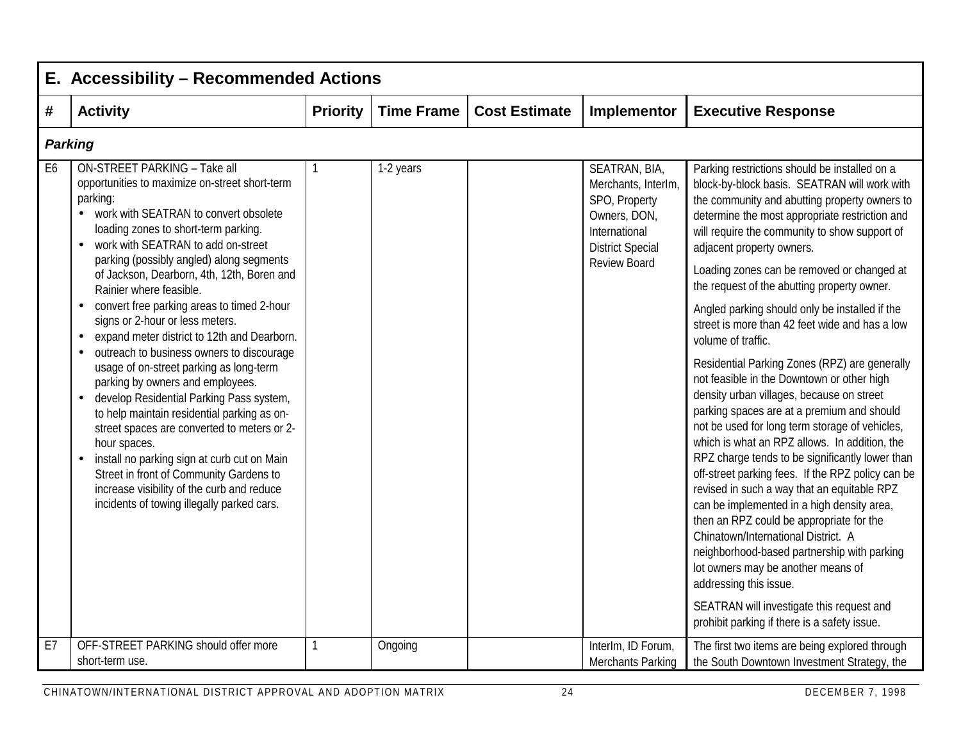|    | E. Accessibility - Recommended Actions                                                                                                                                                                                                                                                                                                                                                                                                                                                                          |                 |                   |                      |                                                                                                                   |                                                                                                                                                                                                                                                                                                                                                                                                                                                                                                                                                                                                                                                                                                                                                                                               |  |  |  |  |  |
|----|-----------------------------------------------------------------------------------------------------------------------------------------------------------------------------------------------------------------------------------------------------------------------------------------------------------------------------------------------------------------------------------------------------------------------------------------------------------------------------------------------------------------|-----------------|-------------------|----------------------|-------------------------------------------------------------------------------------------------------------------|-----------------------------------------------------------------------------------------------------------------------------------------------------------------------------------------------------------------------------------------------------------------------------------------------------------------------------------------------------------------------------------------------------------------------------------------------------------------------------------------------------------------------------------------------------------------------------------------------------------------------------------------------------------------------------------------------------------------------------------------------------------------------------------------------|--|--|--|--|--|
| #  | <b>Activity</b>                                                                                                                                                                                                                                                                                                                                                                                                                                                                                                 | <b>Priority</b> | <b>Time Frame</b> | <b>Cost Estimate</b> | Implementor                                                                                                       | <b>Executive Response</b>                                                                                                                                                                                                                                                                                                                                                                                                                                                                                                                                                                                                                                                                                                                                                                     |  |  |  |  |  |
|    | <b>Parking</b>                                                                                                                                                                                                                                                                                                                                                                                                                                                                                                  |                 |                   |                      |                                                                                                                   |                                                                                                                                                                                                                                                                                                                                                                                                                                                                                                                                                                                                                                                                                                                                                                                               |  |  |  |  |  |
| E6 | <b>ON-STREET PARKING - Take all</b><br>opportunities to maximize on-street short-term<br>parking:<br>work with SEATRAN to convert obsolete<br>$\bullet$<br>loading zones to short-term parking.<br>work with SEATRAN to add on-street<br>$\bullet$<br>parking (possibly angled) along segments                                                                                                                                                                                                                  | $\mathbf{1}$    | 1-2 years         |                      | SEATRAN, BIA,<br>Merchants, InterIm,<br>SPO, Property<br>Owners, DON,<br>International<br><b>District Special</b> | Parking restrictions should be installed on a<br>block-by-block basis. SEATRAN will work with<br>the community and abutting property owners to<br>determine the most appropriate restriction and<br>will require the community to show support of<br>adjacent property owners.                                                                                                                                                                                                                                                                                                                                                                                                                                                                                                                |  |  |  |  |  |
|    | of Jackson, Dearborn, 4th, 12th, Boren and<br>Rainier where feasible.                                                                                                                                                                                                                                                                                                                                                                                                                                           |                 |                   |                      | <b>Review Board</b>                                                                                               | Loading zones can be removed or changed at<br>the request of the abutting property owner.                                                                                                                                                                                                                                                                                                                                                                                                                                                                                                                                                                                                                                                                                                     |  |  |  |  |  |
|    | convert free parking areas to timed 2-hour<br>$\bullet$<br>signs or 2-hour or less meters.<br>expand meter district to 12th and Dearborn.<br>$\bullet$                                                                                                                                                                                                                                                                                                                                                          |                 |                   |                      |                                                                                                                   | Angled parking should only be installed if the<br>street is more than 42 feet wide and has a low<br>volume of traffic.                                                                                                                                                                                                                                                                                                                                                                                                                                                                                                                                                                                                                                                                        |  |  |  |  |  |
|    | outreach to business owners to discourage<br>$\bullet$<br>usage of on-street parking as long-term<br>parking by owners and employees.<br>develop Residential Parking Pass system,<br>$\bullet$<br>to help maintain residential parking as on-<br>street spaces are converted to meters or 2-<br>hour spaces.<br>install no parking sign at curb cut on Main<br>$\bullet$<br>Street in front of Community Gardens to<br>increase visibility of the curb and reduce<br>incidents of towing illegally parked cars. |                 |                   |                      |                                                                                                                   | Residential Parking Zones (RPZ) are generally<br>not feasible in the Downtown or other high<br>density urban villages, because on street<br>parking spaces are at a premium and should<br>not be used for long term storage of vehicles,<br>which is what an RPZ allows. In addition, the<br>RPZ charge tends to be significantly lower than<br>off-street parking fees. If the RPZ policy can be<br>revised in such a way that an equitable RPZ<br>can be implemented in a high density area,<br>then an RPZ could be appropriate for the<br>Chinatown/International District. A<br>neighborhood-based partnership with parking<br>lot owners may be another means of<br>addressing this issue.<br>SEATRAN will investigate this request and<br>prohibit parking if there is a safety issue. |  |  |  |  |  |
| E7 | OFF-STREET PARKING should offer more<br>short-term use.                                                                                                                                                                                                                                                                                                                                                                                                                                                         | 1               | Ongoing           |                      | InterIm, ID Forum,<br><b>Merchants Parking</b>                                                                    | The first two items are being explored through<br>the South Downtown Investment Strategy, the                                                                                                                                                                                                                                                                                                                                                                                                                                                                                                                                                                                                                                                                                                 |  |  |  |  |  |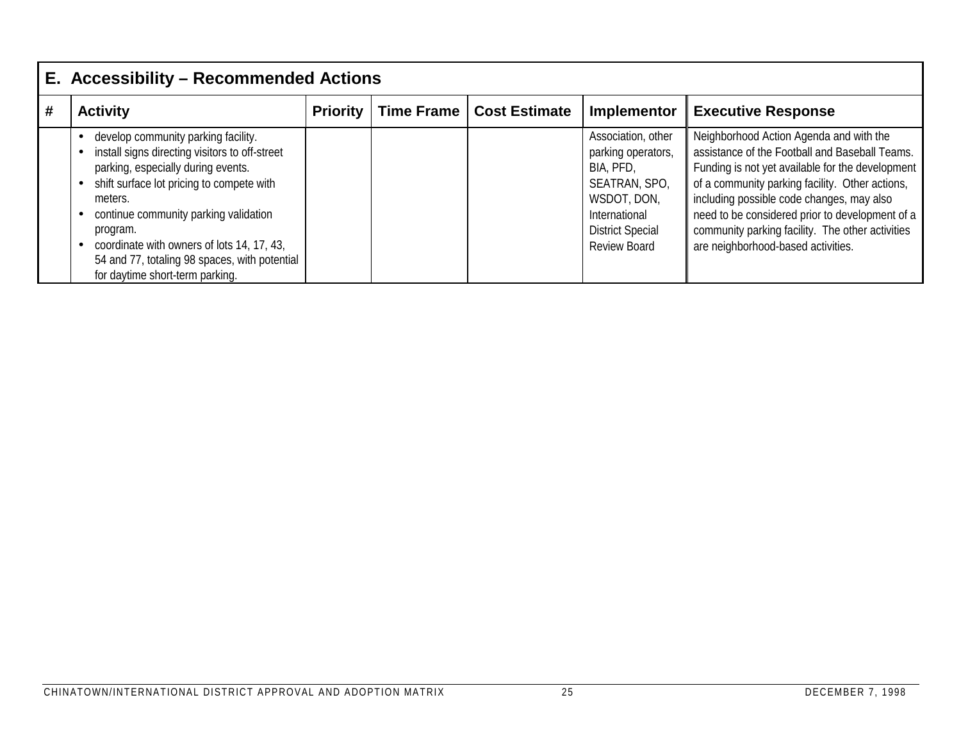|   | E. Accessibility - Recommended Actions                                                                                                                                                                                                                                                                                                                                     |                 |                   |                      |                                                                                                                                                                 |                                                                                                                                                                                                                                                                                                                                                                                            |  |  |  |  |
|---|----------------------------------------------------------------------------------------------------------------------------------------------------------------------------------------------------------------------------------------------------------------------------------------------------------------------------------------------------------------------------|-----------------|-------------------|----------------------|-----------------------------------------------------------------------------------------------------------------------------------------------------------------|--------------------------------------------------------------------------------------------------------------------------------------------------------------------------------------------------------------------------------------------------------------------------------------------------------------------------------------------------------------------------------------------|--|--|--|--|
| # | <b>Activity</b>                                                                                                                                                                                                                                                                                                                                                            | <b>Priority</b> | <b>Time Frame</b> | <b>Cost Estimate</b> | Implementor                                                                                                                                                     | <b>Executive Response</b>                                                                                                                                                                                                                                                                                                                                                                  |  |  |  |  |
|   | develop community parking facility.<br>install signs directing visitors to off-street<br>parking, especially during events.<br>shift surface lot pricing to compete with<br>meters.<br>continue community parking validation<br>program.<br>coordinate with owners of lots 14, 17, 43,<br>54 and 77, totaling 98 spaces, with potential<br>for daytime short-term parking. |                 |                   |                      | Association, other<br>parking operators,<br>BIA, PFD,<br>SEATRAN, SPO,<br>WSDOT, DON,<br><b>International</b><br><b>District Special</b><br><b>Review Board</b> | Neighborhood Action Agenda and with the<br>assistance of the Football and Baseball Teams.<br>Funding is not yet available for the development<br>of a community parking facility. Other actions,<br>including possible code changes, may also<br>need to be considered prior to development of a<br>community parking facility. The other activities<br>are neighborhood-based activities. |  |  |  |  |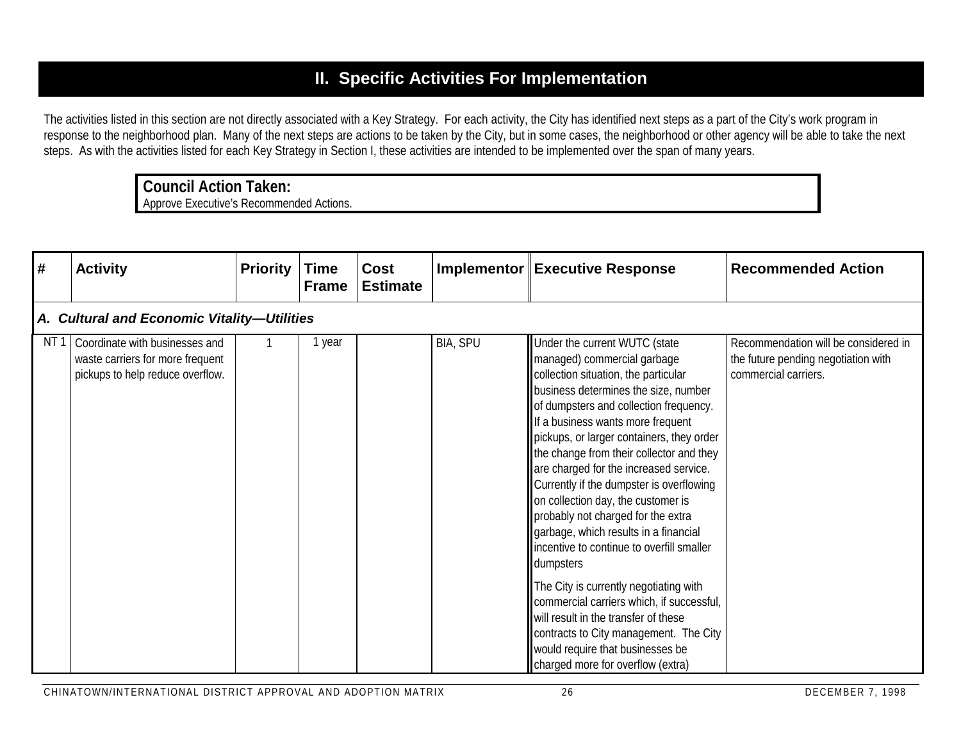# **II. Specific Activities For Implementation**

The activities listed in this section are not directly associated with a Key Strategy. For each activity, the City has identified next steps as a part of the City's work program in response to the neighborhood plan. Many of the next steps are actions to be taken by the City, but in some cases, the neighborhood or other agency will be able to take the next steps. As with the activities listed for each Key Strategy in Section I, these activities are intended to be implemented over the span of many years.

## **Council Action Taken:**

| #               | <b>Activity</b>                                                                                        | <b>Priority</b> | <b>Time</b><br><b>Frame</b> | Cost<br><b>Estimate</b> |          | Implementor Executive Response                                                                                                                                                                                                                                                                                                                                                                                                                                                                                                                                                            | <b>Recommended Action</b>                                                                           |
|-----------------|--------------------------------------------------------------------------------------------------------|-----------------|-----------------------------|-------------------------|----------|-------------------------------------------------------------------------------------------------------------------------------------------------------------------------------------------------------------------------------------------------------------------------------------------------------------------------------------------------------------------------------------------------------------------------------------------------------------------------------------------------------------------------------------------------------------------------------------------|-----------------------------------------------------------------------------------------------------|
|                 | A. Cultural and Economic Vitality-Utilities                                                            |                 |                             |                         |          |                                                                                                                                                                                                                                                                                                                                                                                                                                                                                                                                                                                           |                                                                                                     |
| NT <sub>1</sub> | Coordinate with businesses and<br>waste carriers for more frequent<br>pickups to help reduce overflow. |                 | 1 year                      |                         | BIA, SPU | Under the current WUTC (state<br>managed) commercial garbage<br>collection situation, the particular<br>business determines the size, number<br>of dumpsters and collection frequency.<br>If a business wants more frequent<br>pickups, or larger containers, they order<br>the change from their collector and they<br>are charged for the increased service.<br>Currently if the dumpster is overflowing<br>on collection day, the customer is<br>probably not charged for the extra<br>garbage, which results in a financial<br>incentive to continue to overfill smaller<br>dumpsters | Recommendation will be considered in<br>the future pending negotiation with<br>commercial carriers. |
|                 |                                                                                                        |                 |                             |                         |          | The City is currently negotiating with<br>commercial carriers which, if successful,<br>will result in the transfer of these<br>contracts to City management. The City<br>would require that businesses be<br>charged more for overflow (extra)                                                                                                                                                                                                                                                                                                                                            |                                                                                                     |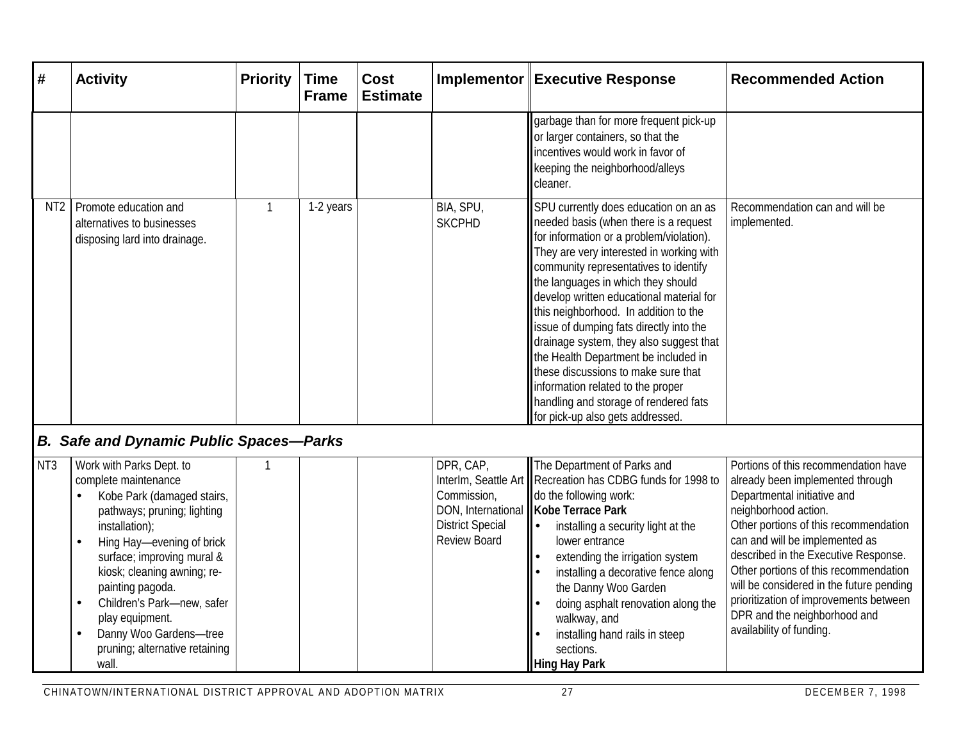| #               | <b>Activity</b>                                                                                                                                                                                                                                                                                                                                                     | <b>Priority</b> | <b>Time</b><br><b>Frame</b> | <b>Cost</b><br><b>Estimate</b> |                                                                            | Implementor Executive Response                                                                                                                                                                                                                                                                                                                                                                                                                                                                                                                                                                                                    | <b>Recommended Action</b>                                                                                                                                                                                                                                                                                                                                                                                                                     |
|-----------------|---------------------------------------------------------------------------------------------------------------------------------------------------------------------------------------------------------------------------------------------------------------------------------------------------------------------------------------------------------------------|-----------------|-----------------------------|--------------------------------|----------------------------------------------------------------------------|-----------------------------------------------------------------------------------------------------------------------------------------------------------------------------------------------------------------------------------------------------------------------------------------------------------------------------------------------------------------------------------------------------------------------------------------------------------------------------------------------------------------------------------------------------------------------------------------------------------------------------------|-----------------------------------------------------------------------------------------------------------------------------------------------------------------------------------------------------------------------------------------------------------------------------------------------------------------------------------------------------------------------------------------------------------------------------------------------|
|                 |                                                                                                                                                                                                                                                                                                                                                                     |                 |                             |                                |                                                                            | garbage than for more frequent pick-up<br>or larger containers, so that the<br>incentives would work in favor of<br>keeping the neighborhood/alleys<br>cleaner.                                                                                                                                                                                                                                                                                                                                                                                                                                                                   |                                                                                                                                                                                                                                                                                                                                                                                                                                               |
| NT <sub>2</sub> | Promote education and<br>alternatives to businesses<br>disposing lard into drainage.                                                                                                                                                                                                                                                                                | $\mathbf{1}$    | 1-2 years                   |                                | BIA, SPU,<br><b>SKCPHD</b>                                                 | SPU currently does education on an as<br>needed basis (when there is a request<br>for information or a problem/violation).<br>They are very interested in working with<br>community representatives to identify<br>the languages in which they should<br>develop written educational material for<br>this neighborhood. In addition to the<br>issue of dumping fats directly into the<br>drainage system, they also suggest that<br>the Health Department be included in<br>these discussions to make sure that<br>information related to the proper<br>handling and storage of rendered fats<br>for pick-up also gets addressed. | Recommendation can and will be<br>implemented.                                                                                                                                                                                                                                                                                                                                                                                                |
|                 | <b>B. Safe and Dynamic Public Spaces-Parks</b>                                                                                                                                                                                                                                                                                                                      |                 |                             |                                |                                                                            |                                                                                                                                                                                                                                                                                                                                                                                                                                                                                                                                                                                                                                   |                                                                                                                                                                                                                                                                                                                                                                                                                                               |
| NT <sub>3</sub> | Work with Parks Dept. to<br>complete maintenance<br>Kobe Park (damaged stairs,<br>pathways; pruning; lighting<br>installation);<br>Hing Hay-evening of brick<br>surface; improving mural &<br>kiosk; cleaning awning; re-<br>painting pagoda.<br>Children's Park-new, safer<br>play equipment.<br>Danny Woo Gardens-tree<br>pruning; alternative retaining<br>wall. |                 |                             |                                | DPR, CAP,<br>Commission,<br><b>District Special</b><br><b>Review Board</b> | The Department of Parks and<br>Interlm, Seattle Art    Recreation has CDBG funds for 1998 to<br>do the following work:<br>DON, International   Kobe Terrace Park<br>installing a security light at the<br>l۰.<br>lower entrance<br>extending the irrigation system<br>installing a decorative fence along<br>the Danny Woo Garden<br>doing asphalt renovation along the<br>walkway, and<br>installing hand rails in steep<br>sections.<br><b>Hing Hay Park</b>                                                                                                                                                                    | Portions of this recommendation have<br>already been implemented through<br>Departmental initiative and<br>neighborhood action.<br>Other portions of this recommendation<br>can and will be implemented as<br>described in the Executive Response.<br>Other portions of this recommendation<br>will be considered in the future pending<br>prioritization of improvements between<br>DPR and the neighborhood and<br>availability of funding. |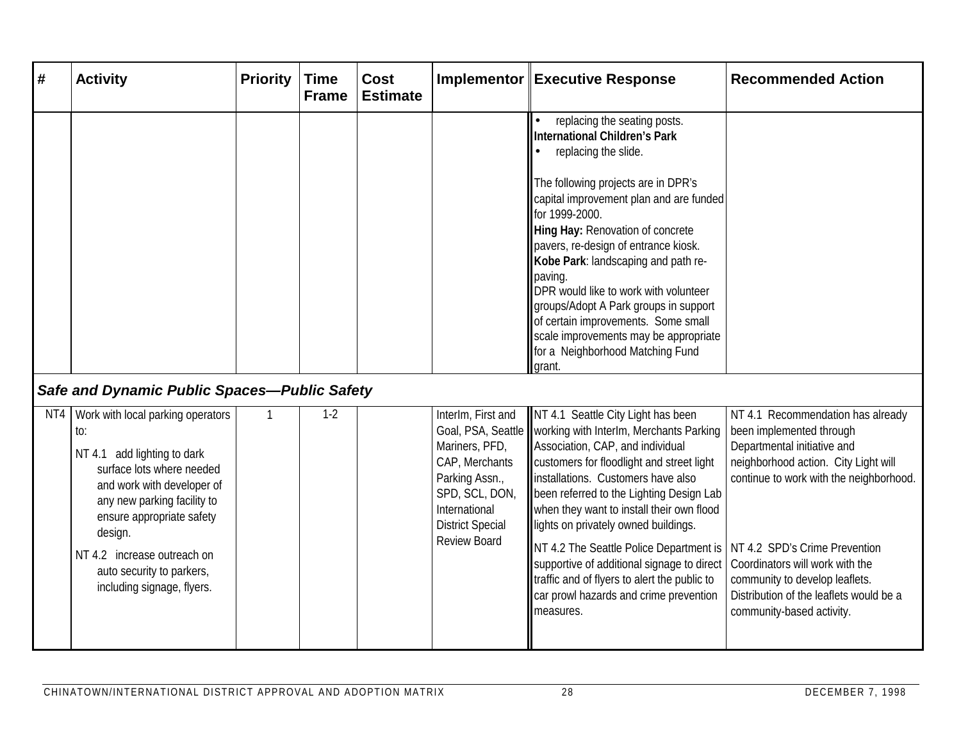| #   | <b>Activity</b>                                                                                                                                                                                                                                                                                     | <b>Priority</b> | <b>Time</b><br><b>Frame</b> | <b>Cost</b><br><b>Estimate</b> |                                                                                                                                                               | Implementor Executive Response                                                                                                                                                                                                                                                                                                                                                                                                                                                                                                                                           | <b>Recommended Action</b>                                                                                                                                                                                                                                                                                                                                     |
|-----|-----------------------------------------------------------------------------------------------------------------------------------------------------------------------------------------------------------------------------------------------------------------------------------------------------|-----------------|-----------------------------|--------------------------------|---------------------------------------------------------------------------------------------------------------------------------------------------------------|--------------------------------------------------------------------------------------------------------------------------------------------------------------------------------------------------------------------------------------------------------------------------------------------------------------------------------------------------------------------------------------------------------------------------------------------------------------------------------------------------------------------------------------------------------------------------|---------------------------------------------------------------------------------------------------------------------------------------------------------------------------------------------------------------------------------------------------------------------------------------------------------------------------------------------------------------|
|     |                                                                                                                                                                                                                                                                                                     |                 |                             |                                |                                                                                                                                                               | replacing the seating posts.<br>$\bullet$<br><b>International Children's Park</b><br>replacing the slide.<br>$\bullet$<br>The following projects are in DPR's<br>capital improvement plan and are funded<br>for 1999-2000.<br>Hing Hay: Renovation of concrete<br>pavers, re-design of entrance kiosk.<br>Kobe Park: landscaping and path re-<br>paving.<br>DPR would like to work with volunteer<br>groups/Adopt A Park groups in support<br>of certain improvements. Some small<br>scale improvements may be appropriate<br>for a Neighborhood Matching Fund<br>grant. |                                                                                                                                                                                                                                                                                                                                                               |
|     | Safe and Dynamic Public Spaces-Public Safety                                                                                                                                                                                                                                                        |                 |                             |                                |                                                                                                                                                               |                                                                                                                                                                                                                                                                                                                                                                                                                                                                                                                                                                          |                                                                                                                                                                                                                                                                                                                                                               |
| NT4 | Work with local parking operators<br>to:<br>NT 4.1 add lighting to dark<br>surface lots where needed<br>and work with developer of<br>any new parking facility to<br>ensure appropriate safety<br>design.<br>NT 4.2 increase outreach on<br>auto security to parkers,<br>including signage, flyers. |                 | $1-2$                       |                                | InterIm, First and<br>Mariners, PFD,<br>CAP, Merchants<br>Parking Assn.,<br>SPD, SCL, DON,<br>International<br><b>District Special</b><br><b>Review Board</b> | NT 4.1 Seattle City Light has been<br>Goal, PSA, Seattle    working with Interlm, Merchants Parking<br>Association, CAP, and individual<br>customers for floodlight and street light<br>installations. Customers have also<br>been referred to the Lighting Design Lab<br>when they want to install their own flood<br>lights on privately owned buildings.<br>NT 4.2 The Seattle Police Department is<br>supportive of additional signage to direct<br>traffic and of flyers to alert the public to<br>car prowl hazards and crime prevention<br>measures.              | NT 4.1 Recommendation has already<br>been implemented through<br>Departmental initiative and<br>neighborhood action. City Light will<br>continue to work with the neighborhood.<br>NT 4.2 SPD's Crime Prevention<br>Coordinators will work with the<br>community to develop leaflets.<br>Distribution of the leaflets would be a<br>community-based activity. |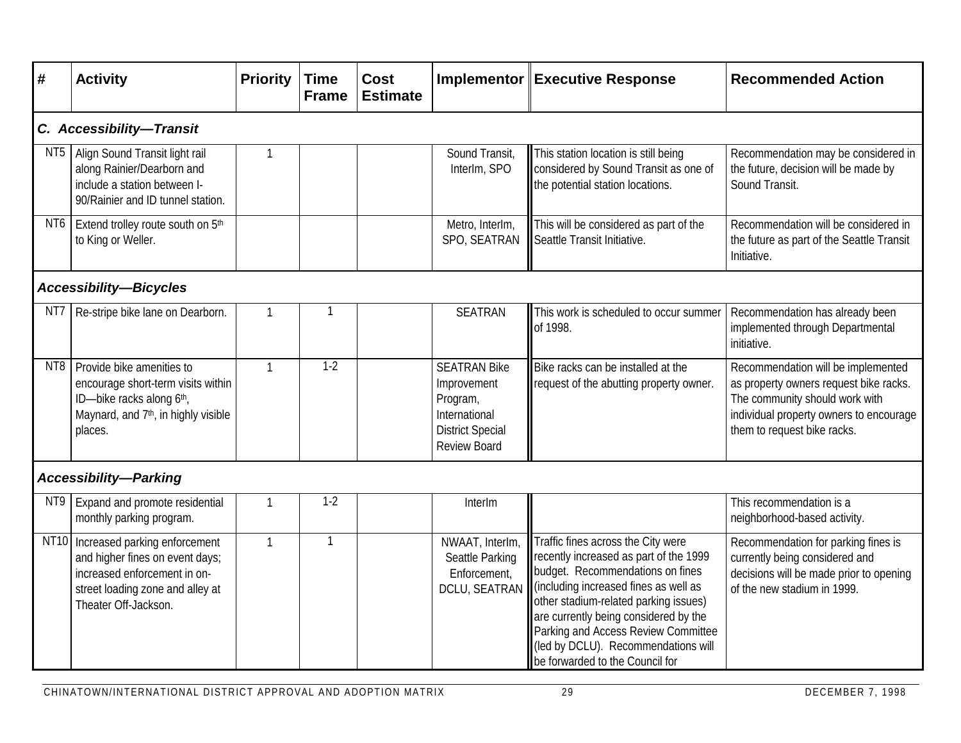| #                             | <b>Activity</b>                                                                                                                                                   | <b>Priority</b> | <b>Time</b><br><b>Frame</b> | <b>Cost</b><br><b>Estimate</b> |                                                                                                                   | Implementor Executive Response                                                                                                                                                                                                                                                                                                                               | <b>Recommended Action</b>                                                                                                                                                                |  |  |  |  |
|-------------------------------|-------------------------------------------------------------------------------------------------------------------------------------------------------------------|-----------------|-----------------------------|--------------------------------|-------------------------------------------------------------------------------------------------------------------|--------------------------------------------------------------------------------------------------------------------------------------------------------------------------------------------------------------------------------------------------------------------------------------------------------------------------------------------------------------|------------------------------------------------------------------------------------------------------------------------------------------------------------------------------------------|--|--|--|--|
|                               | C. Accessibility-Transit                                                                                                                                          |                 |                             |                                |                                                                                                                   |                                                                                                                                                                                                                                                                                                                                                              |                                                                                                                                                                                          |  |  |  |  |
| NT5                           | Align Sound Transit light rail<br>along Rainier/Dearborn and<br>include a station between I-<br>90/Rainier and ID tunnel station.                                 | $\mathbf{1}$    |                             |                                | Sound Transit,<br>InterIm, SPO                                                                                    | This station location is still being<br>considered by Sound Transit as one of<br>the potential station locations.                                                                                                                                                                                                                                            | Recommendation may be considered in<br>the future, decision will be made by<br>Sound Transit.                                                                                            |  |  |  |  |
| NT6                           | Extend trolley route south on 5th<br>to King or Weller.                                                                                                           |                 |                             |                                | Metro, InterIm,<br>SPO, SEATRAN                                                                                   | This will be considered as part of the<br>Seattle Transit Initiative.                                                                                                                                                                                                                                                                                        | Recommendation will be considered in<br>the future as part of the Seattle Transit<br>Initiative.                                                                                         |  |  |  |  |
| <b>Accessibility-Bicycles</b> |                                                                                                                                                                   |                 |                             |                                |                                                                                                                   |                                                                                                                                                                                                                                                                                                                                                              |                                                                                                                                                                                          |  |  |  |  |
| NT7                           | Re-stripe bike lane on Dearborn.                                                                                                                                  | $\mathbf{1}$    |                             |                                | <b>SEATRAN</b>                                                                                                    | This work is scheduled to occur summer<br>of 1998.                                                                                                                                                                                                                                                                                                           | Recommendation has already been<br>implemented through Departmental<br>initiative.                                                                                                       |  |  |  |  |
| NT8                           | Provide bike amenities to<br>encourage short-term visits within<br>ID-bike racks along 6th,<br>Maynard, and 7 <sup>th</sup> , in highly visible<br>places.        | $\mathbf{1}$    | $1-2$                       |                                | <b>SEATRAN Bike</b><br>Improvement<br>Program,<br>International<br><b>District Special</b><br><b>Review Board</b> | Bike racks can be installed at the<br>request of the abutting property owner.                                                                                                                                                                                                                                                                                | Recommendation will be implemented<br>as property owners request bike racks.<br>The community should work with<br>individual property owners to encourage<br>them to request bike racks. |  |  |  |  |
|                               | <b>Accessibility-Parking</b>                                                                                                                                      |                 |                             |                                |                                                                                                                   |                                                                                                                                                                                                                                                                                                                                                              |                                                                                                                                                                                          |  |  |  |  |
| NT9                           | Expand and promote residential<br>monthly parking program.                                                                                                        | $\mathbf 1$     | $1 - 2$                     |                                | InterIm                                                                                                           |                                                                                                                                                                                                                                                                                                                                                              | This recommendation is a<br>neighborhood-based activity.                                                                                                                                 |  |  |  |  |
|                               | NT10 Increased parking enforcement<br>and higher fines on event days;<br>increased enforcement in on-<br>street loading zone and alley at<br>Theater Off-Jackson. | $\mathbf{1}$    | $\mathbf{1}$                |                                | NWAAT, InterIm,<br>Seattle Parking<br>Enforcement,<br><b>DCLU, SEATRAN</b>                                        | Traffic fines across the City were<br>recently increased as part of the 1999<br>budget. Recommendations on fines<br>(including increased fines as well as<br>other stadium-related parking issues)<br>are currently being considered by the<br>Parking and Access Review Committee<br>(led by DCLU). Recommendations will<br>be forwarded to the Council for | Recommendation for parking fines is<br>currently being considered and<br>decisions will be made prior to opening<br>of the new stadium in 1999.                                          |  |  |  |  |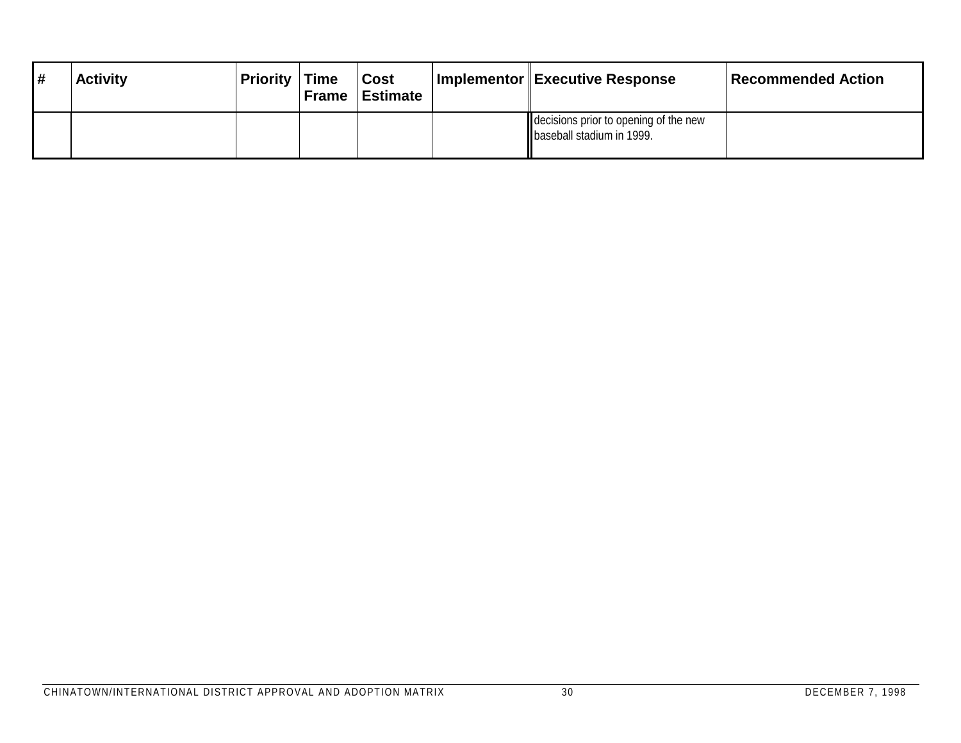| <b>Activity</b> | <b>Priority</b> | <b>Time</b><br><b>Frame</b> | <b>Cost</b><br><sup>∣</sup> Estimate | Implementor Executive Response                                       | Recommended Action |
|-----------------|-----------------|-----------------------------|--------------------------------------|----------------------------------------------------------------------|--------------------|
|                 |                 |                             |                                      | decisions prior to opening of the new<br>I baseball stadium in 1999. |                    |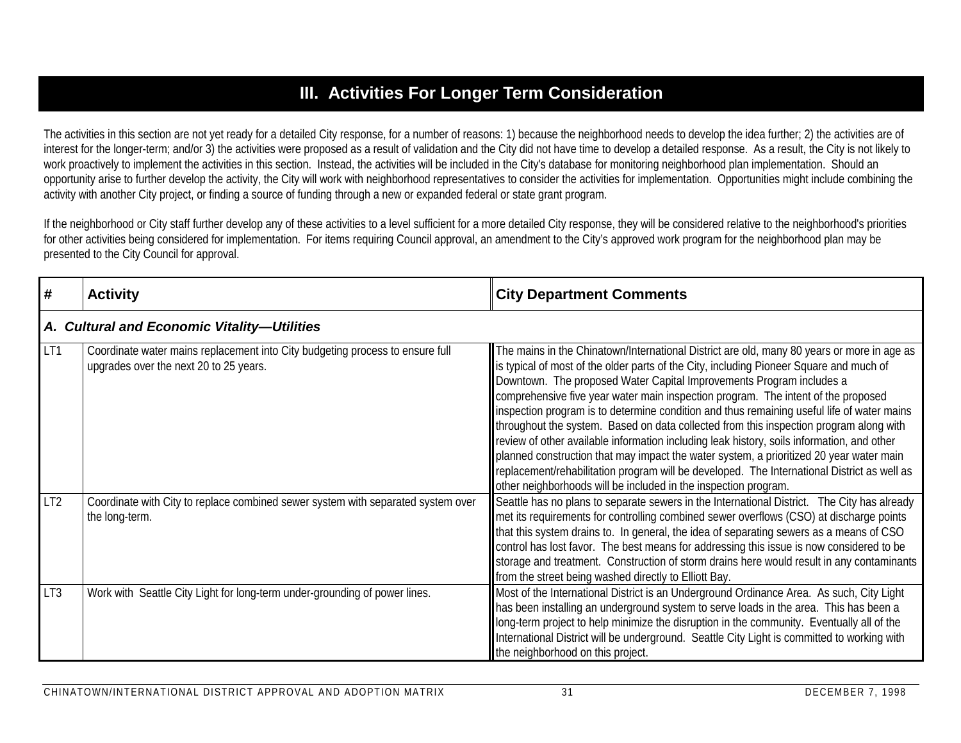# **III. Activities For Longer Term Consideration**

The activities in this section are not yet ready for a detailed City response, for a number of reasons: 1) because the neighborhood needs to develop the idea further; 2) the activities are of interest for the longer-term; and/or 3) the activities were proposed as a result of validation and the City did not have time to develop a detailed response. As a result, the City is not likely to work proactively to implement the activities in this section. Instead, the activities will be included in the City's database for monitoring neighborhood plan implementation. Should an opportunity arise to further develop the activity, the City will work with neighborhood representatives to consider the activities for implementation. Opportunities might include combining the activity with another City project, or finding a source of funding through a new or expanded federal or state grant program.

If the neighborhood or City staff further develop any of these activities to a level sufficient for a more detailed City response, they will be considered relative to the neighborhood's priorities for other activities being considered for implementation. For items requiring Council approval, an amendment to the City's approved work program for the neighborhood plan may be presented to the City Council for approval.

| #               | <b>Activity</b>                                                                                                         | <b>City Department Comments</b>                                                                                                                                                                                                                                                                                                                                                                                                                                                                                                                                                                                                                                                                                                                                                                                                                                                                        |  |  |  |  |  |
|-----------------|-------------------------------------------------------------------------------------------------------------------------|--------------------------------------------------------------------------------------------------------------------------------------------------------------------------------------------------------------------------------------------------------------------------------------------------------------------------------------------------------------------------------------------------------------------------------------------------------------------------------------------------------------------------------------------------------------------------------------------------------------------------------------------------------------------------------------------------------------------------------------------------------------------------------------------------------------------------------------------------------------------------------------------------------|--|--|--|--|--|
|                 | A. Cultural and Economic Vitality-Utilities                                                                             |                                                                                                                                                                                                                                                                                                                                                                                                                                                                                                                                                                                                                                                                                                                                                                                                                                                                                                        |  |  |  |  |  |
| LT1             | Coordinate water mains replacement into City budgeting process to ensure full<br>upgrades over the next 20 to 25 years. | The mains in the Chinatown/International District are old, many 80 years or more in age as<br>is typical of most of the older parts of the City, including Pioneer Square and much of<br>Downtown. The proposed Water Capital Improvements Program includes a<br>comprehensive five year water main inspection program. The intent of the proposed<br>linspection program is to determine condition and thus remaining useful life of water mains<br>throughout the system. Based on data collected from this inspection program along with<br>review of other available information including leak history, soils information, and other<br>planned construction that may impact the water system, a prioritized 20 year water main<br>replacement/rehabilitation program will be developed. The International District as well as<br>other neighborhoods will be included in the inspection program. |  |  |  |  |  |
| LT <sub>2</sub> | Coordinate with City to replace combined sewer system with separated system over<br>the long-term.                      | Seattle has no plans to separate sewers in the International District. The City has already<br>met its requirements for controlling combined sewer overflows (CSO) at discharge points<br>that this system drains to. In general, the idea of separating sewers as a means of CSO<br>control has lost favor. The best means for addressing this issue is now considered to be<br>storage and treatment. Construction of storm drains here would result in any contaminants<br>from the street being washed directly to Elliott Bay.                                                                                                                                                                                                                                                                                                                                                                    |  |  |  |  |  |
| LT <sub>3</sub> | Work with Seattle City Light for long-term under-grounding of power lines.                                              | Most of the International District is an Underground Ordinance Area. As such, City Light<br>Thas been installing an underground system to serve loads in the area. This has been a<br>long-term project to help minimize the disruption in the community. Eventually all of the<br>International District will be underground. Seattle City Light is committed to working with<br>the neighborhood on this project.                                                                                                                                                                                                                                                                                                                                                                                                                                                                                    |  |  |  |  |  |